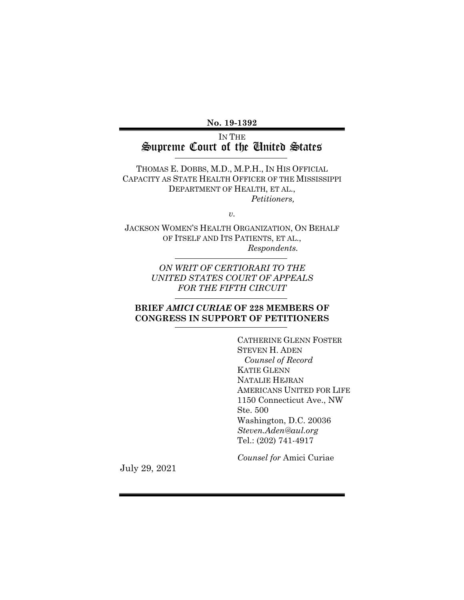**No. 19-1392**

### IN THE Supreme Court of the United States

THOMAS E. DOBBS, M.D., M.P.H., IN HIS OFFICIAL CAPACITY AS STATE HEALTH OFFICER OF THE MISSISSIPPI DEPARTMENT OF HEALTH, ET AL., *Petitioners,*

*v.*

JACKSON WOMEN'S HEALTH ORGANIZATION, ON BEHALF OF ITSELF AND ITS PATIENTS, ET AL., *Respondents.*

> *ON WRIT OF CERTIORARI TO THE UNITED STATES COURT OF APPEALS FOR THE FIFTH CIRCUIT*

### **BRIEF** *AMICI CURIAE* **OF 228 MEMBERS OF CONGRESS IN SUPPORT OF PETITIONERS**

CATHERINE GLENN FOSTER STEVEN H. ADEN  *Counsel of Record* KATIE GLENN NATALIE HEJRAN AMERICANS UNITED FOR LIFE 1150 Connecticut Ave., NW Ste. 500 Washington, D.C. 20036 *Steven.Aden@aul.org* Tel.: (202) 741-4917

*Counsel for* Amici Curiae

July 29, 2021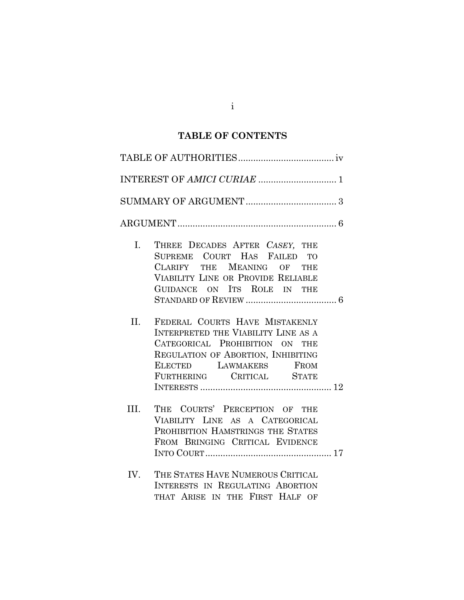## **TABLE OF CONTENTS**

| L.   | THREE DECADES AFTER CASEY, THE<br>SUPREME COURT HAS FAILED TO<br>CLARIFY THE MEANING OF THE<br>VIABILITY LINE OR PROVIDE RELIABLE<br>GUIDANCE ON ITS ROLE IN THE                                            |
|------|-------------------------------------------------------------------------------------------------------------------------------------------------------------------------------------------------------------|
| II.  | FEDERAL COURTS HAVE MISTAKENLY<br><b>INTERPRETED THE VIABILITY LINE AS A</b><br>CATEGORICAL PROHIBITION ON THE<br>REGULATION OF ABORTION, INHIBITING<br>ELECTED LAWMAKERS FROM<br>FURTHERING CRITICAL STATE |
| III. | THE COURTS' PERCEPTION OF THE<br>VIABILITY LINE AS A CATEGORICAL<br>PROHIBITION HAMSTRINGS THE STATES<br>FROM BRINGING CRITICAL EVIDENCE                                                                    |
| IV.  | THE STATES HAVE NUMEROUS CRITICAL<br>INTERESTS IN REGULATING ABORTION<br>THAT ARISE IN THE FIRST HALF OF                                                                                                    |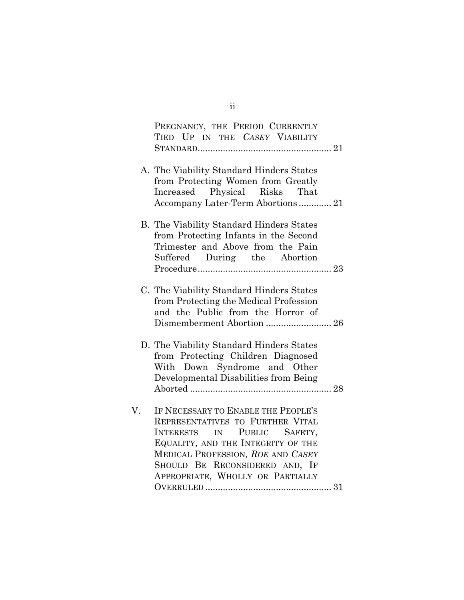| PREGNANCY, THE PERIOD CURRENTLY                                                                                                                                                                                                                         |
|---------------------------------------------------------------------------------------------------------------------------------------------------------------------------------------------------------------------------------------------------------|
| TIED UP IN THE CASEY VIABILITY                                                                                                                                                                                                                          |
| A. The Viability Standard Hinders States<br>from Protecting Women from Greatly<br>Increased Physical Risks That<br>Accompany Later-Term Abortions21                                                                                                     |
| B. The Viability Standard Hinders States<br>from Protecting Infants in the Second<br>Trimester and Above from the Pain<br>Suffered During the Abortion                                                                                                  |
| C. The Viability Standard Hinders States<br>from Protecting the Medical Profession<br>and the Public from the Horror of<br>Dismemberment Abortion  26                                                                                                   |
| D. The Viability Standard Hinders States<br>from Protecting Children Diagnosed<br>With Down Syndrome and Other<br>Developmental Disabilities from Being                                                                                                 |
| IF NECESSARY TO ENABLE THE PEOPLE'S<br>REPRESENTATIVES TO FURTHER VITAL<br>INTERESTS IN PUBLIC SAFETY,<br>EQUALITY, AND THE INTEGRITY OF THE<br>MEDICAL PROFESSION, ROE AND CASEY<br>SHOULD BE RECONSIDERED AND, IF<br>APPROPRIATE, WHOLLY OR PARTIALLY |

ii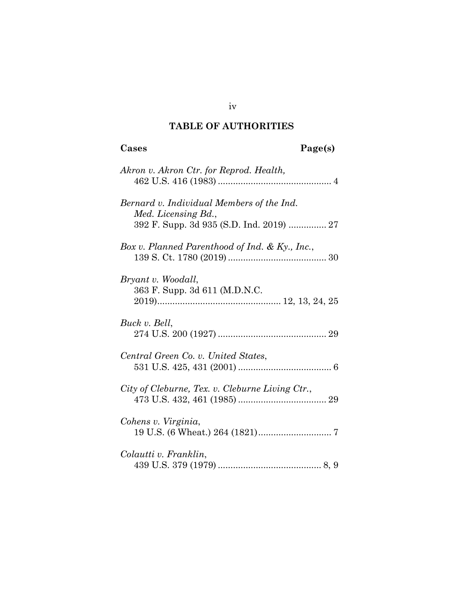## **TABLE OF AUTHORITIES**

| Page(s)<br>Cases                                                                                             |
|--------------------------------------------------------------------------------------------------------------|
| Akron v. Akron Ctr. for Reprod. Health,                                                                      |
| Bernard v. Individual Members of the Ind.<br>Med. Licensing Bd.,<br>392 F. Supp. 3d 935 (S.D. Ind. 2019)  27 |
| Box v. Planned Parenthood of Ind. & Ky., Inc.,                                                               |
| Bryant v. Woodall,<br>363 F. Supp. 3d 611 (M.D.N.C.                                                          |
| Buck v. Bell,                                                                                                |
| Central Green Co. v. United States,                                                                          |
| City of Cleburne, Tex. v. Cleburne Living Ctr.,                                                              |
| Cohens v. Virginia,                                                                                          |
| Colautti v. Franklin,                                                                                        |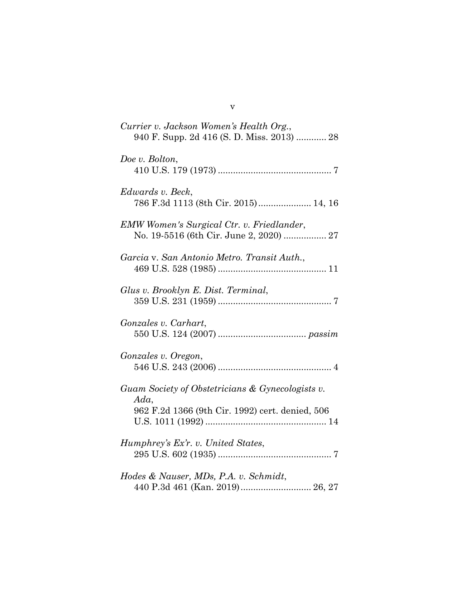| Currier v. Jackson Women's Health Org.,<br>940 F. Supp. 2d 416 (S. D. Miss. 2013)  28                      |
|------------------------------------------------------------------------------------------------------------|
| Doe v. Bolton,                                                                                             |
| Edwards v. Beck,<br>786 F.3d 1113 (8th Cir. 2015) 14, 16                                                   |
| <b>EMW Women's Surgical Ctr. v. Friedlander,</b><br>No. 19-5516 (6th Cir. June 2, 2020)  27                |
| Garcia v. San Antonio Metro. Transit Auth.,                                                                |
| Glus v. Brooklyn E. Dist. Terminal,                                                                        |
| Gonzales v. Carhart,                                                                                       |
| Gonzales v. Oregon,                                                                                        |
| Guam Society of Obstetricians & Gynecologists v.<br>Ada<br>962 F.2d 1366 (9th Cir. 1992) cert. denied, 506 |
| Humphrey's Ex'r. v. United States,                                                                         |
| Hodes & Nauser, MDs, P.A. v. Schmidt,<br>440 P.3d 461 (Kan. 2019) 26, 27                                   |

v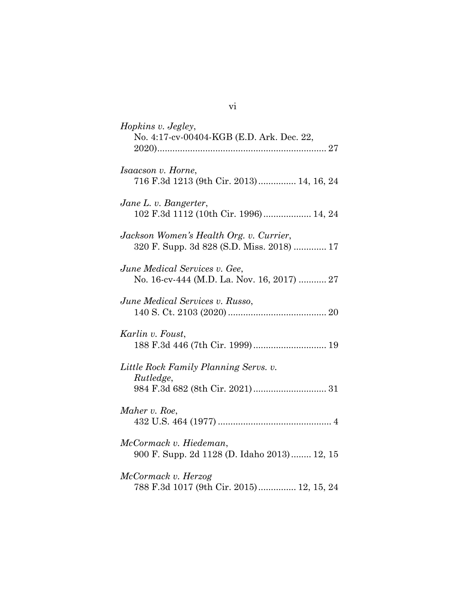| Hopkins v. Jegley,<br>No. 4:17-cv-00404-KGB (E.D. Ark. Dec. 22,                      |
|--------------------------------------------------------------------------------------|
| <i>Isaacson v. Horne,</i><br>716 F.3d 1213 (9th Cir. 2013)  14, 16, 24               |
| Jane L. v. Bangerter,<br>102 F.3d 1112 (10th Cir. 1996) 14, 24                       |
| Jackson Women's Health Org. v. Currier,<br>320 F. Supp. 3d 828 (S.D. Miss. 2018)  17 |
| June Medical Services v. Gee,<br>No. 16-cv-444 (M.D. La. Nov. 16, 2017)  27          |
| June Medical Services v. Russo,                                                      |
| Karlin v. Foust,                                                                     |
| Little Rock Family Planning Servs. v.<br>Rutledge,                                   |
| Maher v. Roe,                                                                        |
| McCormack v. Hiedeman,<br>900 F. Supp. 2d 1128 (D. Idaho 2013) 12, 15                |
| McCormack v. Herzog<br>788 F.3d 1017 (9th Cir. 2015) 12, 15, 24                      |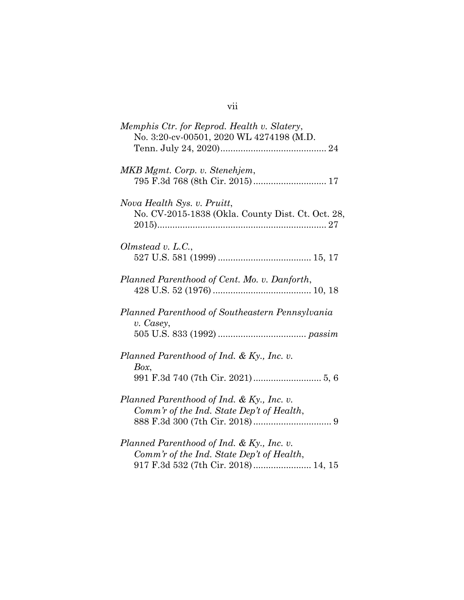| Memphis Ctr. for Reprod. Health v. Slatery,<br>No. 3:20-cv-00501, 2020 WL 4274198 (M.D.                                       |
|-------------------------------------------------------------------------------------------------------------------------------|
| MKB Mgmt. Corp. v. Stenehjem,                                                                                                 |
| Nova Health Sys. v. Pruitt,<br>No. CV-2015-1838 (Okla. County Dist. Ct. Oct. 28,                                              |
| Olmstead v. L.C.,                                                                                                             |
| Planned Parenthood of Cent. Mo. v. Danforth,                                                                                  |
| Planned Parenthood of Southeastern Pennsylvania<br>v. Casey,                                                                  |
| Planned Parenthood of Ind. & Ky., Inc. v.<br>Box,                                                                             |
| Planned Parenthood of Ind. & Ky., Inc. v.<br>Comm'r of the Ind. State Dep't of Health,                                        |
| Planned Parenthood of Ind. & Ky., Inc. v.<br>Comm'r of the Ind. State Dep't of Health,<br>917 F.3d 532 (7th Cir. 2018) 14, 15 |

## vii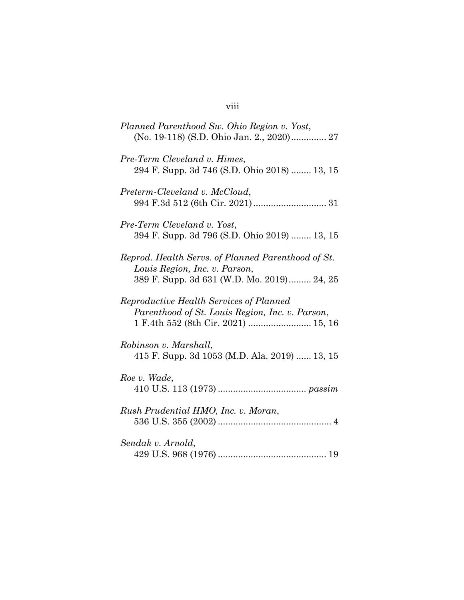## viii

| Planned Parenthood Sw. Ohio Region v. Yost,<br>(No. 19-118) (S.D. Ohio Jan. 2., 2020) 27                                          |
|-----------------------------------------------------------------------------------------------------------------------------------|
| Pre-Term Cleveland v. Himes,<br>294 F. Supp. 3d 746 (S.D. Ohio 2018)  13, 15                                                      |
| Preterm-Cleveland v. McCloud,                                                                                                     |
| Pre-Term Cleveland v. Yost,<br>394 F. Supp. 3d 796 (S.D. Ohio 2019)  13, 15                                                       |
| Reprod. Health Servs. of Planned Parenthood of St.<br>Louis Region, Inc. v. Parson,<br>389 F. Supp. 3d 631 (W.D. Mo. 2019) 24, 25 |
| Reproductive Health Services of Planned<br>Parenthood of St. Louis Region, Inc. v. Parson,                                        |
| Robinson v. Marshall,<br>415 F. Supp. 3d 1053 (M.D. Ala. 2019)  13, 15                                                            |
| Roe v. Wade,                                                                                                                      |
| Rush Prudential HMO, Inc. v. Moran,                                                                                               |
| Sendak v. Arnold,                                                                                                                 |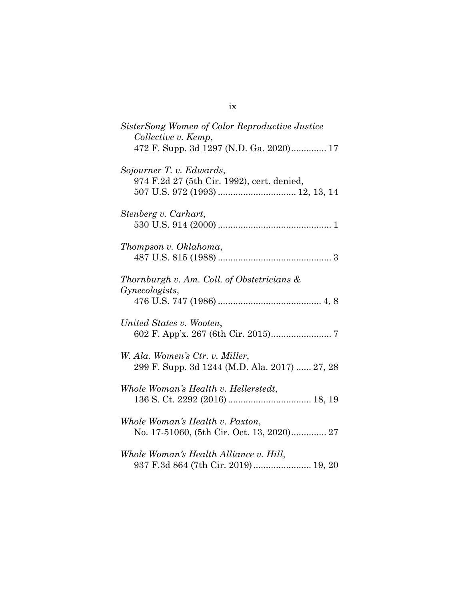| SisterSong Women of Color Reproductive Justice<br>Collective v. Kemp,            |
|----------------------------------------------------------------------------------|
| 472 F. Supp. 3d 1297 (N.D. Ga. 2020) 17                                          |
| Sojourner T. v. Edwards,<br>974 F.2d 27 (5th Cir. 1992), cert. denied,           |
|                                                                                  |
| Stenberg v. Carhart,                                                             |
| Thompson v. Oklahoma,                                                            |
| Thornburgh v. Am. Coll. of Obstetricians &<br>Gynecologists,                     |
|                                                                                  |
| United States v. Wooten,                                                         |
| W. Ala. Women's Ctr. v. Miller,<br>299 F. Supp. 3d 1244 (M.D. Ala. 2017)  27, 28 |
| Whole Woman's Health v. Hellerstedt,                                             |
| Whole Woman's Health v. Paxton,<br>No. 17-51060, (5th Cir. Oct. 13, 2020) 27     |
| Whole Woman's Health Alliance v. Hill,<br>937 F.3d 864 (7th Cir. 2019) 19, 20    |

ix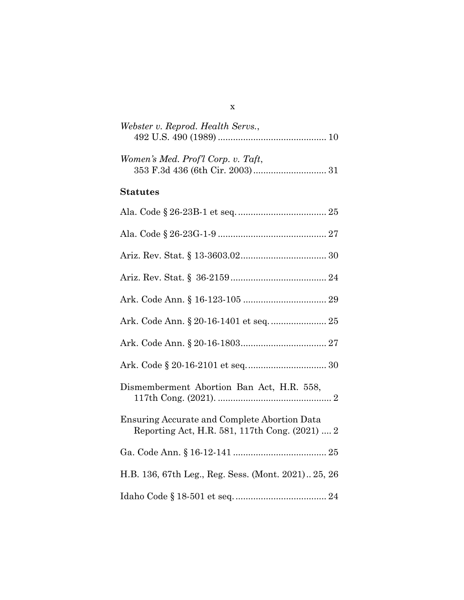| Webster v. Reprod. Health Servs.,  |  |
|------------------------------------|--|
|                                    |  |
|                                    |  |
| Women's Med. Prof'l Corp. v. Taft. |  |
|                                    |  |

### **Statutes**

| Dismemberment Abortion Ban Act, H.R. 558,                                                             |
|-------------------------------------------------------------------------------------------------------|
| <b>Ensuring Accurate and Complete Abortion Data</b><br>Reporting Act, H.R. 581, 117th Cong. (2021)  2 |
|                                                                                                       |
| H.B. 136, 67th Leg., Reg. Sess. (Mont. 2021) 25, 26                                                   |
|                                                                                                       |

x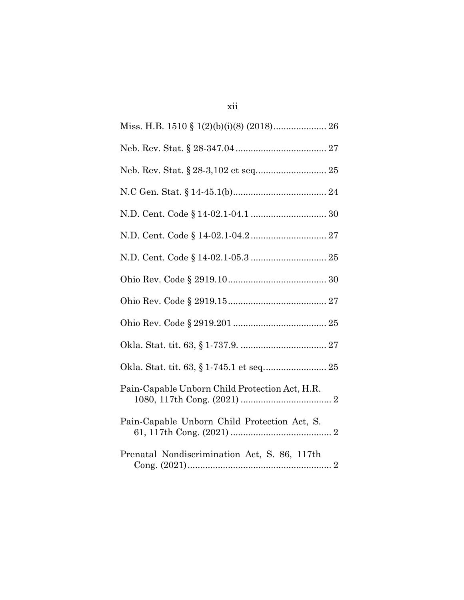| Pain-Capable Unborn Child Protection Act, H.R. |
|------------------------------------------------|
| Pain-Capable Unborn Child Protection Act, S.   |
| Prenatal Nondiscrimination Act, S. 86, 117th   |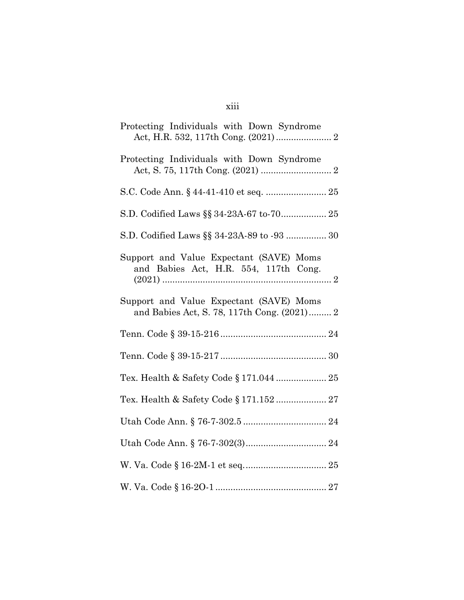| Protecting Individuals with Down Syndrome                                              |
|----------------------------------------------------------------------------------------|
| Protecting Individuals with Down Syndrome                                              |
|                                                                                        |
| S.D. Codified Laws §§ 34-23A-67 to-70 25                                               |
| S.D. Codified Laws §§ 34-23A-89 to -93  30                                             |
| Support and Value Expectant (SAVE) Moms<br>and Babies Act, H.R. 554, 117th Cong.       |
| Support and Value Expectant (SAVE) Moms<br>and Babies Act, S. 78, 117th Cong. (2021) 2 |
|                                                                                        |
|                                                                                        |
| Tex. Health & Safety Code § 171.044  25                                                |
| Tex. Health & Safety Code § 171.152  27                                                |
|                                                                                        |
|                                                                                        |
|                                                                                        |
|                                                                                        |

## xiii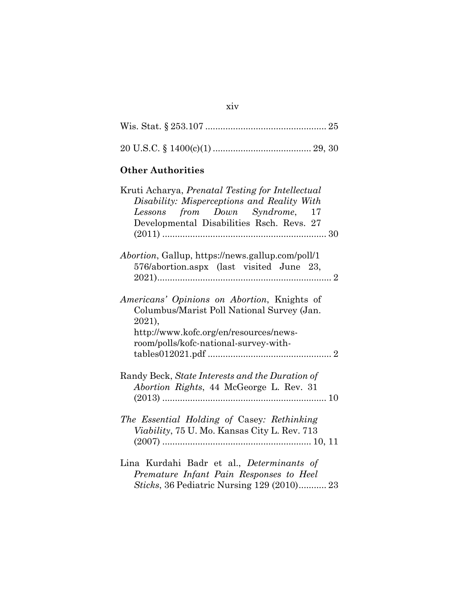## **Other Authorities**

| Kruti Acharya, Prenatal Testing for Intellectual<br>Disability: Misperceptions and Reality With<br>Lessons from Down Syndrome, 17<br>Developmental Disabilities Rsch. Revs. 27         |
|----------------------------------------------------------------------------------------------------------------------------------------------------------------------------------------|
| <i>Abortion</i> , Gallup, https://news.gallup.com/poll/1<br>576/abortion.aspx (last visited June 23,                                                                                   |
| Americans' Opinions on Abortion, Knights of<br>Columbus/Marist Poll National Survey (Jan.<br>2021),<br>http://www.kofc.org/en/resources/news-<br>room/polls/kofc-national-survey-with- |
| Randy Beck, State Interests and the Duration of<br>Abortion Rights, 44 McGeorge L. Rev. 31                                                                                             |
| The Essential Holding of Casey: Rethinking<br>Viability, 75 U. Mo. Kansas City L. Rev. 713                                                                                             |
| Lina Kurdahi Badr et al., Determinants of<br>Premature Infant Pain Responses to Heel<br>Sticks, 36 Pediatric Nursing 129 (2010) 23                                                     |

xiv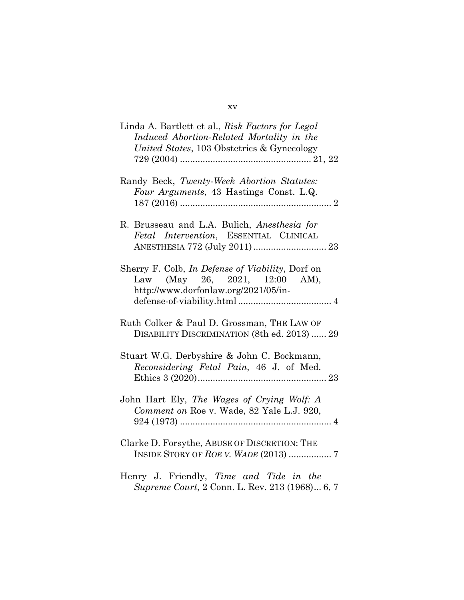| Linda A. Bartlett et al., Risk Factors for Legal<br>Induced Abortion-Related Mortality in the<br>United States, 103 Obstetrics & Gynecology |
|---------------------------------------------------------------------------------------------------------------------------------------------|
| Randy Beck, Twenty-Week Abortion Statutes:<br>Four Arguments, 43 Hastings Const. L.Q.                                                       |
| R. Brusseau and L.A. Bulich, Anesthesia for<br>Fetal Intervention, ESSENTIAL CLINICAL<br>ANESTHESIA 772 (July 2011)  23                     |
| Sherry F. Colb, In Defense of Viability, Dorf on<br>Law (May 26, 2021, 12:00 AM),<br>http://www.dorfonlaw.org/2021/05/in-                   |
| Ruth Colker & Paul D. Grossman, THE LAW OF<br>DISABILITY DISCRIMINATION (8th ed. 2013)  29                                                  |
| Stuart W.G. Derbyshire & John C. Bockmann,<br>Reconsidering Fetal Pain, 46 J. of Med.                                                       |
| John Hart Ely, The Wages of Crying Wolf: A<br>Comment on Roe v. Wade, 82 Yale L.J. 920,                                                     |
| Clarke D. Forsythe, ABUSE OF DISCRETION: THE                                                                                                |
| Henry J. Friendly, Time and Tide in the<br>Supreme Court, 2 Conn. L. Rev. 213 (1968) 6, 7                                                   |

xv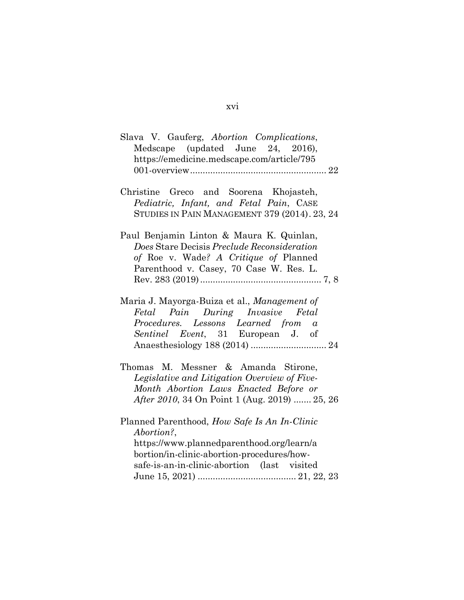| Slava V. Gauferg, Abortion Complications,<br>Medscape (updated June 24, 2016),<br>https://emedicine.medscape.com/article/795                                                                                                 |
|------------------------------------------------------------------------------------------------------------------------------------------------------------------------------------------------------------------------------|
|                                                                                                                                                                                                                              |
| Christine Greco and Soorena Khojasteh,<br>Pediatric, Infant, and Fetal Pain, CASE<br>STUDIES IN PAIN MANAGEMENT 379 (2014). 23, 24                                                                                           |
| Paul Benjamin Linton & Maura K. Quinlan,<br>Does Stare Decisis Preclude Reconsideration<br>of Roe v. Wade? A Critique of Planned<br>Parenthood v. Casey, 70 Case W. Res. L.                                                  |
| Maria J. Mayorga-Buiza et al., Management of<br>Pain During Invasive Fetal<br>Fetal<br>$\emph{Proceedures.} \quad \emph{Lessons} \quad \emph{Learned} \quad \emph{from} \quad \emph{a}$<br>Sentinel Event, 31 European J. of |
| Thomas M. Messner & Amanda Stirone,<br>Legislative and Litigation Overview of Five-<br>Month Abortion Laws Enacted Before or<br>After 2010, 34 On Point 1 (Aug. 2019)  25, 26                                                |
| Planned Parenthood, How Safe Is An In-Clinic<br>Abortion?,<br>https://www.plannedparenthood.org/learn/a<br>bortion/in-clinic-abortion-procedures/how-<br>safe-is-an-in-clinic-abortion (last visited                         |

## xvi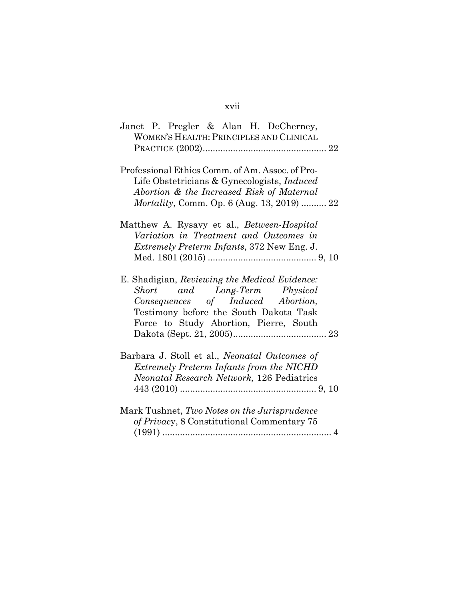## xvii

| Janet P. Pregler & Alan H. DeCherney,<br><b>WOMEN'S HEALTH: PRINCIPLES AND CLINICAL</b>                                                                                                                  |
|----------------------------------------------------------------------------------------------------------------------------------------------------------------------------------------------------------|
|                                                                                                                                                                                                          |
| Professional Ethics Comm. of Am. Assoc. of Pro-<br>Life Obstetricians & Gynecologists, <i>Induced</i><br>Abortion & the Increased Risk of Maternal<br><i>Mortality</i> , Comm. Op. 6 (Aug. 13, 2019)  22 |
| Matthew A. Rysavy et al., <i>Between-Hospital</i><br>Variation in Treatment and Outcomes in<br><i>Extremely Preterm Infants, 372 New Eng. J.</i>                                                         |
| E. Shadigian, Reviewing the Medical Evidence:<br>Short and Long-Term Physical<br>Consequences of Induced Abortion,<br>Testimony before the South Dakota Task<br>Force to Study Abortion, Pierre, South   |
| Barbara J. Stoll et al., <i>Neonatal Outcomes of</i><br>Extremely Preterm Infants from the NICHD<br>Neonatal Research Network, 126 Pediatrics                                                            |
| Mark Tushnet, Two Notes on the Jurisprudence<br>of Privacy, 8 Constitutional Commentary 75                                                                                                               |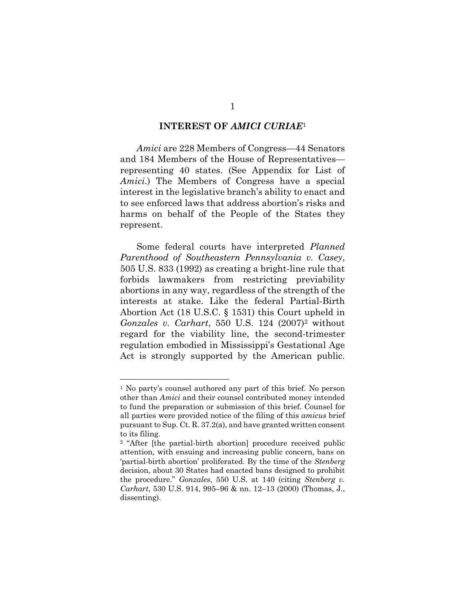#### **INTEREST OF** *AMICI CURIAE*<sup>1</sup>

*Amici* are 228 Members of Congress—44 Senators and 184 Members of the House of Representatives representing 40 states. (See Appendix for List of *Amici*.) The Members of Congress have a special interest in the legislative branch's ability to enact and to see enforced laws that address abortion's risks and harms on behalf of the People of the States they represent.

Some federal courts have interpreted *Planned Parenthood of Southeastern Pennsylvania v. Casey*, 505 U.S. 833 (1992) as creating a bright-line rule that forbids lawmakers from restricting previability abortions in any way, regardless of the strength of the interests at stake. Like the federal Partial-Birth Abortion Act (18 U.S.C. § 1531) this Court upheld in *Gonzales v. Carhart*, 550 U.S. 124 (2007)2 without regard for the viability line, the second-trimester regulation embodied in Mississippi's Gestational Age Act is strongly supported by the American public.

<sup>1</sup> No party's counsel authored any part of this brief. No person other than *Amici* and their counsel contributed money intended to fund the preparation or submission of this brief. Counsel for all parties were provided notice of the filing of this *amicus* brief pursuant to Sup. Ct. R. 37.2(a), and have granted written consent to its filing.

<sup>2</sup> "After [the partial-birth abortion] procedure received public attention, with ensuing and increasing public concern, bans on 'partial-birth abortion' proliferated. By the time of the *Stenberg* decision, about 30 States had enacted bans designed to prohibit the procedure." *Gonzales*, 550 U.S. at 140 (citing *Stenberg v. Carhart*, 530 U.S. 914, 995–96 & nn. 12–13 (2000) (Thomas, J., dissenting).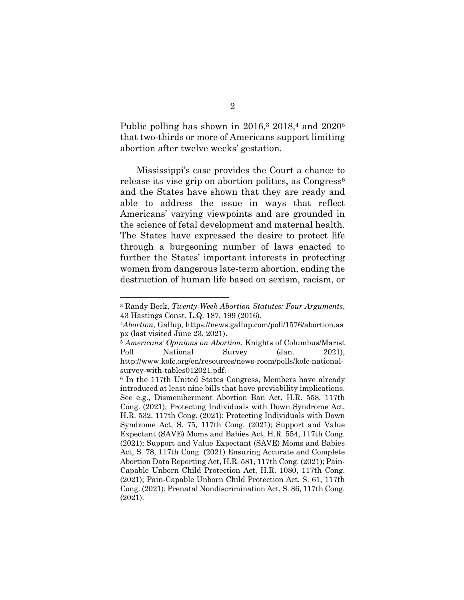Public polling has shown in  $2016<sup>3</sup>$ ,  $2018<sup>4</sup>$  and  $2020<sup>5</sup>$ that two-thirds or more of Americans support limiting abortion after twelve weeks' gestation.

Mississippi's case provides the Court a chance to release its vise grip on abortion politics, as Congress<sup>6</sup> and the States have shown that they are ready and able to address the issue in ways that reflect Americans' varying viewpoints and are grounded in the science of fetal development and maternal health. The States have expressed the desire to protect life through a burgeoning number of laws enacted to further the States' important interests in protecting women from dangerous late-term abortion, ending the destruction of human life based on sexism, racism, or

<sup>3</sup> Randy Beck, *Twenty-Week Abortion Statutes: Four Arguments*, 43 Hastings Const. L.Q. 187, 199 (2016).

<sup>4</sup>*Abortion*, Gallup, https://news.gallup.com/poll/1576/abortion.as px (last visited June 23, 2021).

<sup>5</sup> *Americans' Opinions on Abortion*, Knights of Columbus/Marist Poll National Survey (Jan. 2021), http://www.kofc.org/en/resources/news-room/polls/kofc-nationalsurvey-with-tables012021.pdf.

<sup>6</sup> In the 117th United States Congress, Members have already introduced at least nine bills that have previability implications. See e.g., Dismemberment Abortion Ban Act, H.R. 558, 117th Cong. (2021); Protecting Individuals with Down Syndrome Act, H.R. 532, 117th Cong. (2021); Protecting Individuals with Down Syndrome Act, S. 75, 117th Cong. (2021); Support and Value Expectant (SAVE) Moms and Babies Act, H.R. 554, 117th Cong. (2021); Support and Value Expectant (SAVE) Moms and Babies Act, S. 78, 117th Cong. (2021) Ensuring Accurate and Complete Abortion Data Reporting Act, H.R. 581, 117th Cong. (2021); Pain-Capable Unborn Child Protection Act, H.R. 1080, 117th Cong. (2021); Pain-Capable Unborn Child Protection Act, S. 61, 117th Cong. (2021); Prenatal Nondiscrimination Act, S. 86, 117th Cong. (2021).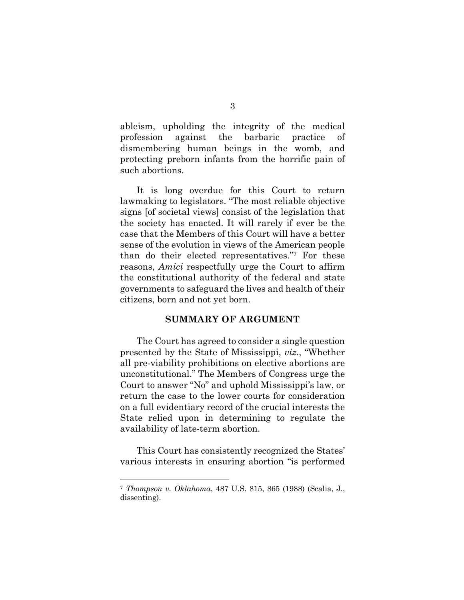ableism, upholding the integrity of the medical profession against the barbaric practice of dismembering human beings in the womb, and protecting preborn infants from the horrific pain of such abortions.

It is long overdue for this Court to return lawmaking to legislators. "The most reliable objective signs [of societal views] consist of the legislation that the society has enacted. It will rarely if ever be the case that the Members of this Court will have a better sense of the evolution in views of the American people than do their elected representatives."7 For these reasons, *Amici* respectfully urge the Court to affirm the constitutional authority of the federal and state governments to safeguard the lives and health of their citizens, born and not yet born.

#### **SUMMARY OF ARGUMENT**

The Court has agreed to consider a single question presented by the State of Mississippi, *viz*., "Whether all pre-viability prohibitions on elective abortions are unconstitutional." The Members of Congress urge the Court to answer "No" and uphold Mississippi's law, or return the case to the lower courts for consideration on a full evidentiary record of the crucial interests the State relied upon in determining to regulate the availability of late-term abortion.

This Court has consistently recognized the States' various interests in ensuring abortion "is performed

<sup>7</sup> *Thompson v. Oklahoma*, 487 U.S. 815, 865 (1988) (Scalia, J., dissenting).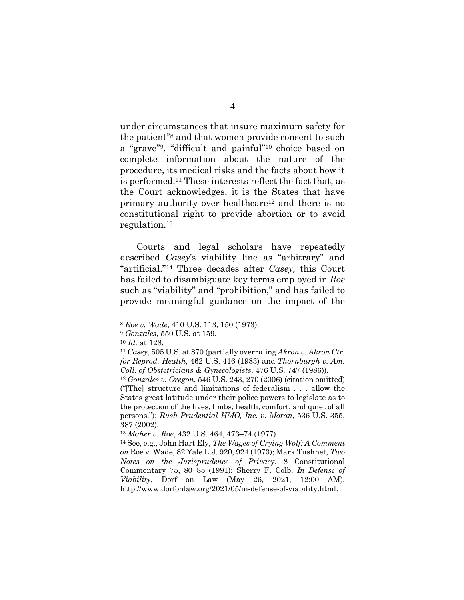under circumstances that insure maximum safety for the patient"8 and that women provide consent to such a "grave"9, "difficult and painful"10 choice based on complete information about the nature of the procedure, its medical risks and the facts about how it is performed.11 These interests reflect the fact that, as the Court acknowledges, it is the States that have primary authority over healthcare12 and there is no constitutional right to provide abortion or to avoid regulation.13

Courts and legal scholars have repeatedly described *Casey*'s viability line as "arbitrary" and "artificial."14 Three decades after *Casey,* this Court has failed to disambiguate key terms employed in *Roe* such as "viability" and "prohibition," and has failed to provide meaningful guidance on the impact of the

<sup>8</sup> *Roe v. Wade*, 410 U.S. 113, 150 (1973).

<sup>9</sup> *Gonzales*, 550 U.S. at 159.

<sup>10</sup> *Id.* at 128.

<sup>11</sup> *Casey*, 505 U.S. at 870 (partially overruling *Akron v. Akron Ctr. for Reprod. Health*, 462 U.S. 416 (1983) and *Thornburgh v. Am. Coll. of Obstetricians & Gynecologists*, 476 U.S. 747 (1986)).

<sup>12</sup> *Gonzales v. Oregon*, 546 U.S. 243, 270 (2006) (citation omitted) ("[The] structure and limitations of federalism . . . allow the States great latitude under their police powers to legislate as to the protection of the lives, limbs, health, comfort, and quiet of all persons."); *Rush Prudential HMO, Inc. v. Moran*, 536 U.S. 355, 387 (2002).

<sup>13</sup> *Maher v. Roe*, 432 U.S. 464, 473–74 (1977).

<sup>14</sup> See, e.g., John Hart Ely, *The Wages of Crying Wolf: A Comment on* Roe v. Wade, 82 Yale L.J. 920, 924 (1973); Mark Tushnet, *Two Notes on the Jurisprudence of Privac*y, 8 Constitutional Commentary 75, 80–85 (1991); Sherry F. Colb, *In Defense of Viability*, Dorf on Law (May 26, 2021, 12:00 AM), http://www.dorfonlaw.org/2021/05/in-defense-of-viability.html.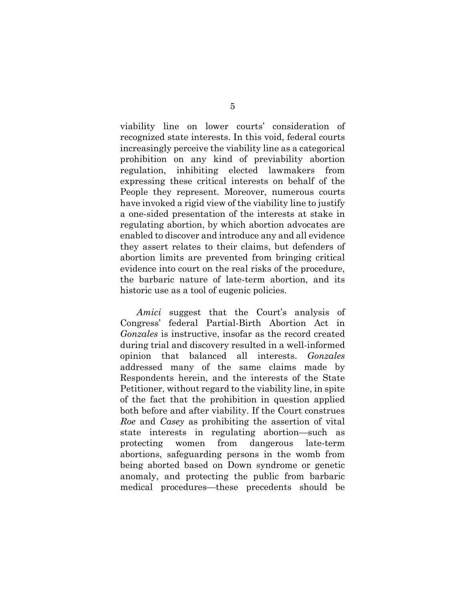viability line on lower courts' consideration of recognized state interests. In this void, federal courts increasingly perceive the viability line as a categorical prohibition on any kind of previability abortion regulation, inhibiting elected lawmakers from expressing these critical interests on behalf of the People they represent. Moreover, numerous courts have invoked a rigid view of the viability line to justify a one-sided presentation of the interests at stake in regulating abortion, by which abortion advocates are enabled to discover and introduce any and all evidence they assert relates to their claims, but defenders of abortion limits are prevented from bringing critical evidence into court on the real risks of the procedure, the barbaric nature of late-term abortion, and its historic use as a tool of eugenic policies.

*Amici* suggest that the Court's analysis of Congress' federal Partial-Birth Abortion Act in *Gonzales* is instructive, insofar as the record created during trial and discovery resulted in a well-informed opinion that balanced all interests. *Gonzales* addressed many of the same claims made by Respondents herein, and the interests of the State Petitioner, without regard to the viability line, in spite of the fact that the prohibition in question applied both before and after viability. If the Court construes *Roe* and *Casey* as prohibiting the assertion of vital state interests in regulating abortion—such as protecting women from dangerous late-term abortions, safeguarding persons in the womb from being aborted based on Down syndrome or genetic anomaly, and protecting the public from barbaric medical procedures—these precedents should be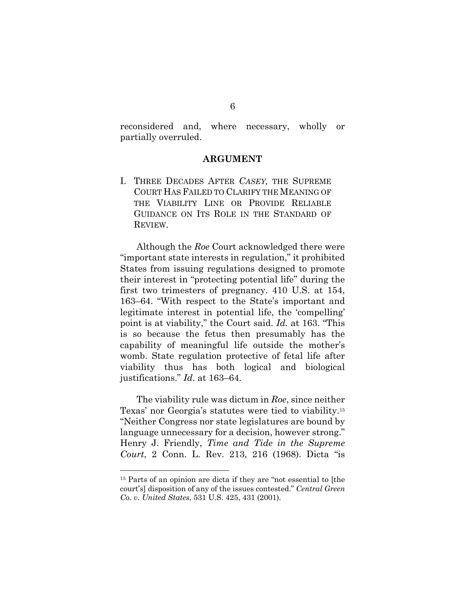reconsidered and, where necessary, wholly or partially overruled.

#### **ARGUMENT**

I. THREE DECADES AFTER *CASEY,* THE SUPREME COURT HAS FAILED TO CLARIFY THE MEANING OF THE VIABILITY LINE OR PROVIDE RELIABLE GUIDANCE ON ITS ROLE IN THE STANDARD OF REVIEW.

Although the *Roe* Court acknowledged there were "important state interests in regulation," it prohibited States from issuing regulations designed to promote their interest in "protecting potential life" during the first two trimesters of pregnancy. 410 U.S. at 154, 163–64. "With respect to the State's important and legitimate interest in potential life, the 'compelling' point is at viability," the Court said. *Id.* at 163. "This is so because the fetus then presumably has the capability of meaningful life outside the mother's womb. State regulation protective of fetal life after viability thus has both logical and biological justifications." *Id*. at 163–64.

The viability rule was dictum in *Roe*, since neither Texas' nor Georgia's statutes were tied to viability.15 "Neither Congress nor state legislatures are bound by language unnecessary for a decision, however strong." Henry J. Friendly, *Time and Tide in the Supreme Court*, 2 Conn. L. Rev. 213, 216 (1968). Dicta "is

<sup>15</sup> Parts of an opinion are dicta if they are "not essential to [the court's] disposition of any of the issues contested." *Central Green Co. v. United States*, 531 U.S. 425, 431 (2001).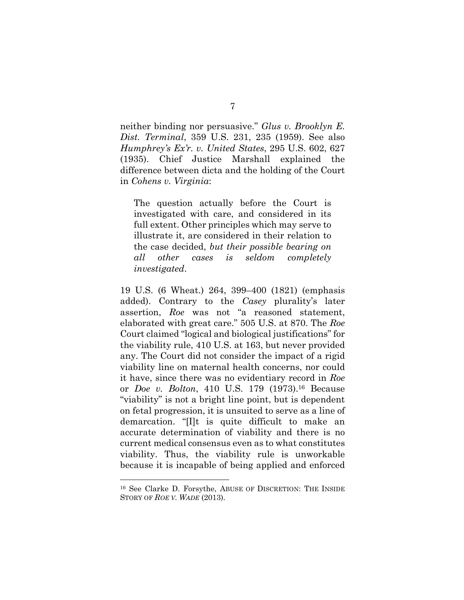neither binding nor persuasive." *Glus v. Brooklyn E. Dist. Terminal*, 359 U.S. 231, 235 (1959). See also *Humphrey's Ex'r. v. United States*, 295 U.S. 602, 627 (1935). Chief Justice Marshall explained the difference between dicta and the holding of the Court in *Cohens v. Virginia*:

The question actually before the Court is investigated with care, and considered in its full extent. Other principles which may serve to illustrate it, are considered in their relation to the case decided, *but their possible bearing on all other cases is seldom completely investigated*.

19 U.S. (6 Wheat.) 264, 399–400 (1821) (emphasis added). Contrary to the *Casey* plurality's later assertion, *Roe* was not "a reasoned statement, elaborated with great care." 505 U.S. at 870. The *Roe* Court claimed "logical and biological justifications" for the viability rule, 410 U.S. at 163, but never provided any. The Court did not consider the impact of a rigid viability line on maternal health concerns, nor could it have, since there was no evidentiary record in *Roe* or *Doe v. Bolton*, 410 U.S. 179 (1973).16 Because "viability" is not a bright line point, but is dependent on fetal progression, it is unsuited to serve as a line of demarcation. "[I]t is quite difficult to make an accurate determination of viability and there is no current medical consensus even as to what constitutes viability. Thus, the viability rule is unworkable because it is incapable of being applied and enforced

<sup>16</sup> See Clarke D. Forsythe, ABUSE OF DISCRETION: THE INSIDE STORY OF *ROE V. WADE* (2013).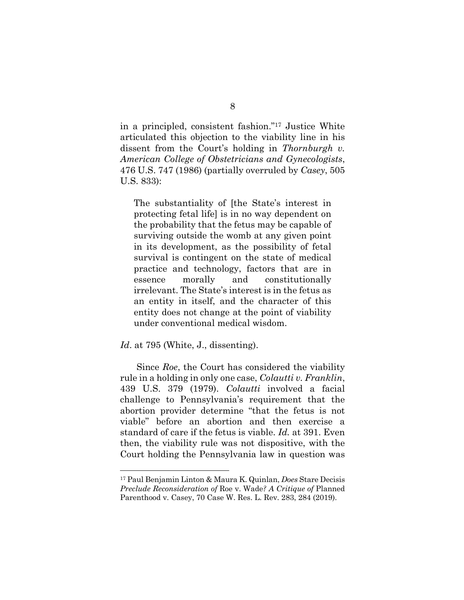in a principled, consistent fashion."17 Justice White articulated this objection to the viability line in his dissent from the Court's holding in *Thornburgh v. American College of Obstetricians and Gynecologists*, 476 U.S. 747 (1986) (partially overruled by *Casey*, 505 U.S. 833):

The substantiality of [the State's interest in protecting fetal life] is in no way dependent on the probability that the fetus may be capable of surviving outside the womb at any given point in its development, as the possibility of fetal survival is contingent on the state of medical practice and technology, factors that are in essence morally and constitutionally irrelevant. The State's interest is in the fetus as an entity in itself, and the character of this entity does not change at the point of viability under conventional medical wisdom.

#### Id. at 795 (White, J., dissenting).

Since *Roe*, the Court has considered the viability rule in a holding in only one case, *Colautti v. Franklin*, 439 U.S. 379 (1979). *Colautti* involved a facial challenge to Pennsylvania's requirement that the abortion provider determine "that the fetus is not viable" before an abortion and then exercise a standard of care if the fetus is viable. *Id.* at 391. Even then, the viability rule was not dispositive, with the Court holding the Pennsylvania law in question was

<sup>17</sup> Paul Benjamin Linton & Maura K. Quinlan, *Does* Stare Decisis *Preclude Reconsideration of* Roe v. Wade*? A Critique of* Planned Parenthood v. Casey, 70 Case W. Res. L. Rev. 283, 284 (2019).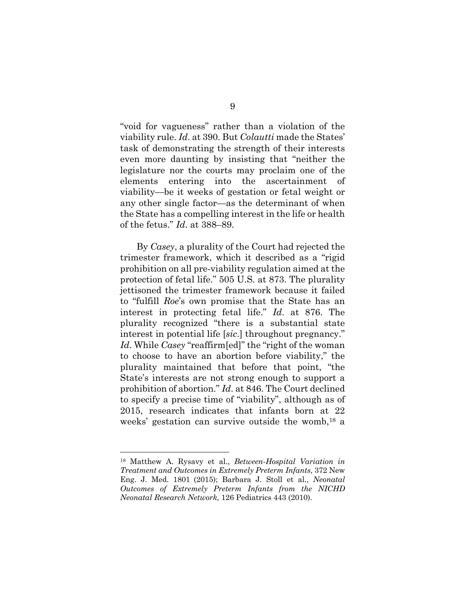"void for vagueness" rather than a violation of the viability rule. *Id*. at 390. But *Colautti* made the States' task of demonstrating the strength of their interests even more daunting by insisting that "neither the legislature nor the courts may proclaim one of the elements entering into the ascertainment of viability—be it weeks of gestation or fetal weight or any other single factor—as the determinant of when the State has a compelling interest in the life or health of the fetus." *Id*. at 388–89.

By *Casey*, a plurality of the Court had rejected the trimester framework, which it described as a "rigid prohibition on all pre-viability regulation aimed at the protection of fetal life." 505 U.S. at 873. The plurality jettisoned the trimester framework because it failed to "fulfill *Roe*'s own promise that the State has an interest in protecting fetal life." *Id*. at 876. The plurality recognized "there is a substantial state interest in potential life [*sic*.] throughout pregnancy." *Id*. While *Casey* "reaffirm[ed]" the "right of the woman to choose to have an abortion before viability," the plurality maintained that before that point, "the State's interests are not strong enough to support a prohibition of abortion." *Id*. at 846. The Court declined to specify a precise time of "viability", although as of 2015, research indicates that infants born at 22 weeks' gestation can survive outside the womb,18 a

<sup>18</sup> Matthew A. Rysavy et al., *Between-Hospital Variation in Treatment and Outcomes in Extremely Preterm Infants*, 372 New Eng. J. Med. 1801 (2015); Barbara J. Stoll et al., *Neonatal Outcomes of Extremely Preterm Infants from the NICHD Neonatal Research Network,* 126 Pediatrics 443 (2010).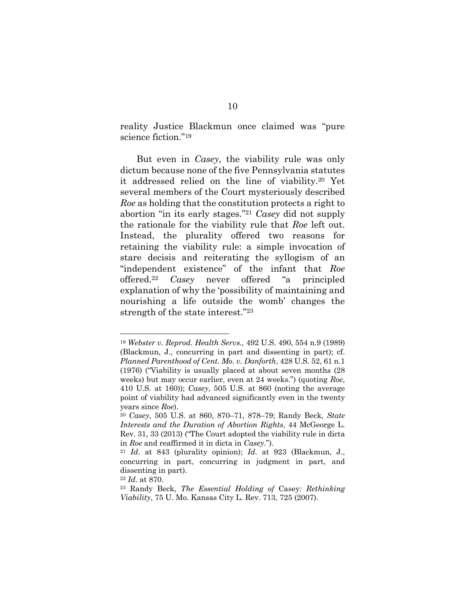reality Justice Blackmun once claimed was "pure science fiction."19

But even in *Casey*, the viability rule was only dictum because none of the five Pennsylvania statutes it addressed relied on the line of viability.20 Yet several members of the Court mysteriously described *Roe* as holding that the constitution protects a right to abortion "in its early stages."21 *Casey* did not supply the rationale for the viability rule that *Roe* left out. Instead, the plurality offered two reasons for retaining the viability rule: a simple invocation of stare decisis and reiterating the syllogism of an "independent existence" of the infant that *Roe* offered.22 *Casey* never offered "a principled explanation of why the 'possibility of maintaining and nourishing a life outside the womb' changes the strength of the state interest."23

<sup>19</sup> *Webster v. Reprod. Health Servs.,* 492 U.S. 490, 554 n.9 (1989) (Blackmun, J., concurring in part and dissenting in part); cf. *Planned Parenthood of Cent. Mo. v. Danforth*, 428 U.S. 52, 61 n.1 (1976) ("Viability is usually placed at about seven months (28 weeks) but may occur earlier, even at 24 weeks.") (quoting *Roe*, 410 U.S. at 160)); *Casey*, 505 U.S. at 860 (noting the average point of viability had advanced significantly even in the twenty years since *Roe*).

<sup>20</sup> *Casey*, 505 U.S. at 860, 870–71, 878–79; Randy Beck, *State Interests and the Duration of Abortion Rights*, 44 McGeorge L. Rev. 31, 33 (2013) ("The Court adopted the viability rule in dicta in *Roe* and reaffirmed it in dicta in *Casey*.").

<sup>21</sup> *Id*. at 843 (plurality opinion); *Id*. at 923 (Blackmun, J., concurring in part, concurring in judgment in part, and dissenting in part).

<sup>22</sup> *Id*. at 870.

<sup>23</sup> Randy Beck, *The Essential Holding of* Casey*: Rethinking Viability*, 75 U. Mo. Kansas City L. Rev. 713, 725 (2007).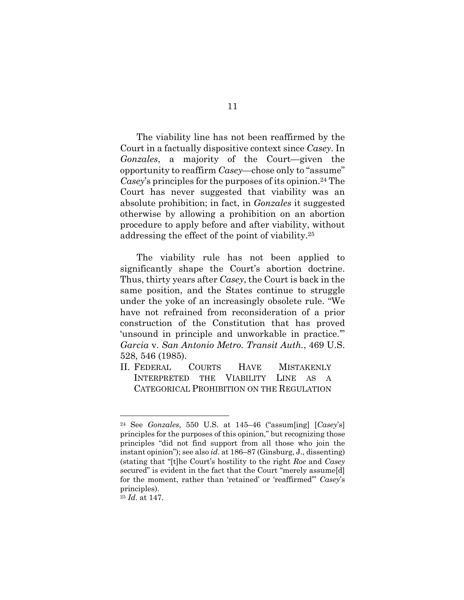The viability line has not been reaffirmed by the Court in a factually dispositive context since *Casey*. In *Gonzales*, a majority of the Court—given the opportunity to reaffirm *Casey*—chose only to "assume" *Casey*'s principles for the purposes of its opinion.<sup>24</sup> The Court has never suggested that viability was an absolute prohibition; in fact, in *Gonzales* it suggested otherwise by allowing a prohibition on an abortion procedure to apply before and after viability, without addressing the effect of the point of viability.25

The viability rule has not been applied to significantly shape the Court's abortion doctrine. Thus, thirty years after *Casey*, the Court is back in the same position, and the States continue to struggle under the yoke of an increasingly obsolete rule. "We have not refrained from reconsideration of a prior construction of the Constitution that has proved 'unsound in principle and unworkable in practice.'" *Garcia* v. *San Antonio Metro. Transit Auth.*, 469 U.S. 528, 546 (1985).

II. FEDERAL COURTS HAVE MISTAKENLY INTERPRETED THE VIABILITY LINE AS A CATEGORICAL PROHIBITION ON THE REGULATION

<sup>24</sup> See *Gonzales*, 550 U.S. at 145–46 ("assum[ing] [*Casey*'s] principles for the purposes of this opinion," but recognizing those principles "did not find support from all those who join the instant opinion"); see also *id*. at 186–87 (Ginsburg, J., dissenting) (stating that "[t]he Court's hostility to the right *Roe* and *Casey* secured" is evident in the fact that the Court "merely assume[d] for the moment, rather than 'retained' or 'reaffirmed'" *Casey*'s principles).

<sup>25</sup> *Id*. at 147.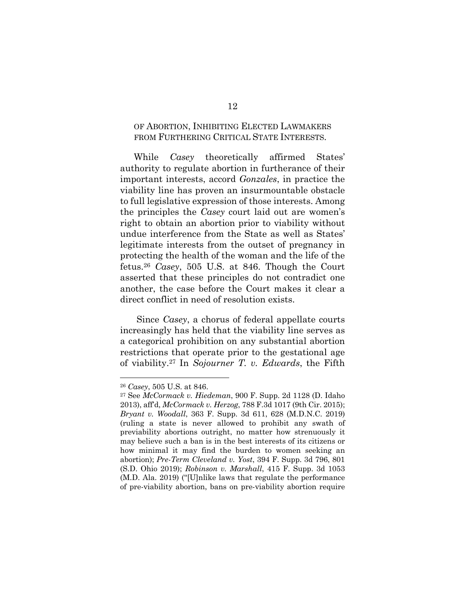### OF ABORTION, INHIBITING ELECTED LAWMAKERS FROM FURTHERING CRITICAL STATE INTERESTS.

While *Casey* theoretically affirmed States' authority to regulate abortion in furtherance of their important interests, accord *Gonzales*, in practice the viability line has proven an insurmountable obstacle to full legislative expression of those interests. Among the principles the *Casey* court laid out are women's right to obtain an abortion prior to viability without undue interference from the State as well as States' legitimate interests from the outset of pregnancy in protecting the health of the woman and the life of the fetus.26 *Casey*, 505 U.S. at 846. Though the Court asserted that these principles do not contradict one another, the case before the Court makes it clear a direct conflict in need of resolution exists.

Since *Casey*, a chorus of federal appellate courts increasingly has held that the viability line serves as a categorical prohibition on any substantial abortion restrictions that operate prior to the gestational age of viability.27 In *Sojourner T. v. Edwards*, the Fifth

<sup>26</sup> *Casey*, 505 U.S. at 846.

<sup>27</sup> See *McCormack v. Hiedeman*, 900 F. Supp. 2d 1128 (D. Idaho 2013), aff'd, *McCormack v. Herzog*, 788 F.3d 1017 (9th Cir. 2015); *Bryant v. Woodall*, 363 F. Supp. 3d 611, 628 (M.D.N.C. 2019) (ruling a state is never allowed to prohibit any swath of previability abortions outright, no matter how strenuously it may believe such a ban is in the best interests of its citizens or how minimal it may find the burden to women seeking an abortion); *Pre-Term Cleveland v. Yost*, 394 F. Supp. 3d 796, 801 (S.D. Ohio 2019); *Robinson v. Marshall*, 415 F. Supp. 3d 1053 (M.D. Ala. 2019) ("[U]nlike laws that regulate the performance of pre-viability abortion, bans on pre-viability abortion require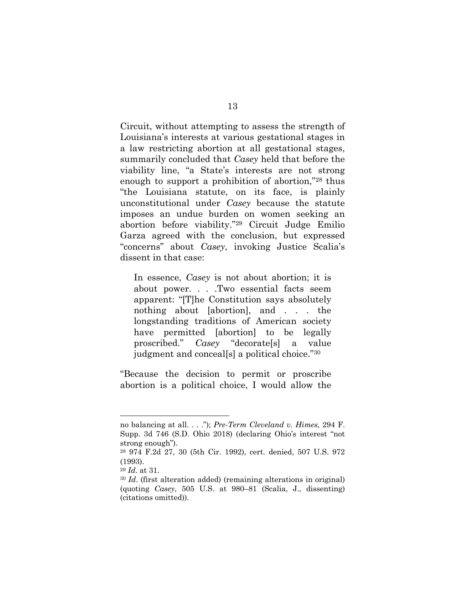Circuit, without attempting to assess the strength of Louisiana's interests at various gestational stages in a law restricting abortion at all gestational stages, summarily concluded that *Casey* held that before the viability line, "a State's interests are not strong enough to support a prohibition of abortion,"28 thus "the Louisiana statute, on its face, is plainly unconstitutional under *Casey* because the statute imposes an undue burden on women seeking an abortion before viability."29 Circuit Judge Emilio Garza agreed with the conclusion, but expressed "concerns" about *Casey*, invoking Justice Scalia's dissent in that case:

In essence, *Casey* is not about abortion; it is about power. . . .Two essential facts seem apparent: "[T]he Constitution says absolutely nothing about [abortion], and . . . the longstanding traditions of American society have permitted [abortion] to be legally proscribed." *Casey* "decorate[s] a value judgment and conceal[s] a political choice."30

"Because the decision to permit or proscribe abortion is a political choice, I would allow the

no balancing at all. . . ."); *Pre-Term Cleveland v. Himes*, 294 F. Supp. 3d 746 (S.D. Ohio 2018) (declaring Ohio's interest "not strong enough").

<sup>28</sup> 974 F.2d 27, 30 (5th Cir. 1992), cert. denied, 507 U.S. 972 (1993).

<sup>29</sup> *Id*. at 31.

<sup>30</sup> *Id*. (first alteration added) (remaining alterations in original) (quoting *Casey*, 505 U.S. at 980–81 (Scalia, J., dissenting) (citations omitted)).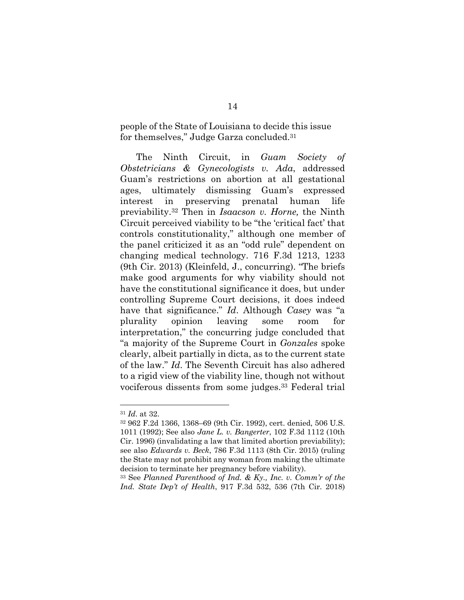people of the State of Louisiana to decide this issue for themselves," Judge Garza concluded.31

The Ninth Circuit, in *Guam Society of Obstetricians & Gynecologists v. Ada*, addressed Guam's restrictions on abortion at all gestational ages, ultimately dismissing Guam's expressed interest in preserving prenatal human life previability.32 Then in *Isaacson v. Horne,* the Ninth Circuit perceived viability to be "the 'critical fact' that controls constitutionality," although one member of the panel criticized it as an "odd rule" dependent on changing medical technology. 716 F.3d 1213, 1233 (9th Cir. 2013) (Kleinfeld, J., concurring). "The briefs make good arguments for why viability should not have the constitutional significance it does, but under controlling Supreme Court decisions, it does indeed have that significance." *Id*. Although *Casey* was "a plurality opinion leaving some room for interpretation," the concurring judge concluded that "a majority of the Supreme Court in *Gonzales* spoke clearly, albeit partially in dicta, as to the current state of the law." *Id*. The Seventh Circuit has also adhered to a rigid view of the viability line, though not without vociferous dissents from some judges.33 Federal trial

<sup>31</sup> *Id*. at 32.

<sup>32</sup> 962 F.2d 1366, 1368–69 (9th Cir. 1992), cert. denied, 506 U.S. 1011 (1992); See also *Jane L. v. Bangerter*, 102 F.3d 1112 (10th Cir. 1996) (invalidating a law that limited abortion previability); see also *Edwards v. Beck*, 786 F.3d 1113 (8th Cir. 2015) (ruling the State may not prohibit any woman from making the ultimate decision to terminate her pregnancy before viability).

<sup>33</sup> See *Planned Parenthood of Ind. & Ky., Inc. v. Comm'r of the Ind. State Dep't of Health*, 917 F.3d 532, 536 (7th Cir. 2018)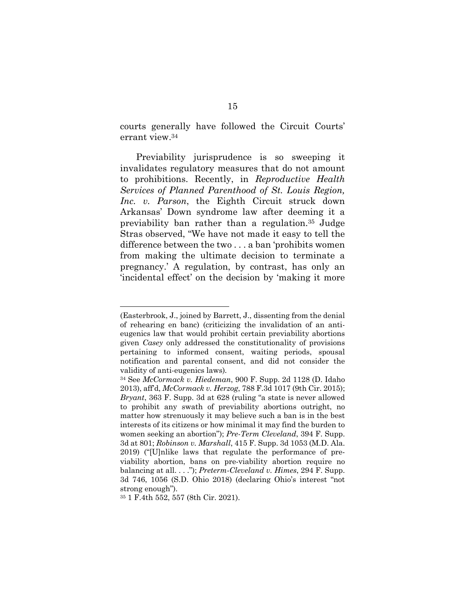courts generally have followed the Circuit Courts' errant view.34

Previability jurisprudence is so sweeping it invalidates regulatory measures that do not amount to prohibitions. Recently, in *Reproductive Health Services of Planned Parenthood of St. Louis Region, Inc. v. Parson*, the Eighth Circuit struck down Arkansas' Down syndrome law after deeming it a previability ban rather than a regulation.35 Judge Stras observed, "We have not made it easy to tell the difference between the two . . . a ban 'prohibits women from making the ultimate decision to terminate a pregnancy.' A regulation, by contrast, has only an 'incidental effect' on the decision by 'making it more

<sup>(</sup>Easterbrook, J., joined by Barrett, J., dissenting from the denial of rehearing en banc) (criticizing the invalidation of an antieugenics law that would prohibit certain previability abortions given *Casey* only addressed the constitutionality of provisions pertaining to informed consent, waiting periods, spousal notification and parental consent, and did not consider the validity of anti-eugenics laws)*.*

<sup>34</sup> See *McCormack v. Hiedeman*, 900 F. Supp. 2d 1128 (D. Idaho 2013), aff'd, *McCormack v. Herzog*, 788 F.3d 1017 (9th Cir. 2015); *Bryant*, 363 F. Supp. 3d at 628 (ruling "a state is never allowed to prohibit any swath of previability abortions outright, no matter how strenuously it may believe such a ban is in the best interests of its citizens or how minimal it may find the burden to women seeking an abortion"); *Pre-Term Cleveland*, 394 F. Supp. 3d at 801; *Robinson v. Marshall*, 415 F. Supp. 3d 1053 (M.D. Ala. 2019) ("[U]nlike laws that regulate the performance of previability abortion, bans on pre-viability abortion require no balancing at all. . . ."); *Preterm-Cleveland v. Himes*, 294 F. Supp. 3d 746, 1056 (S.D. Ohio 2018) (declaring Ohio's interest "not strong enough").

<sup>35</sup> 1 F.4th 552, 557 (8th Cir. 2021).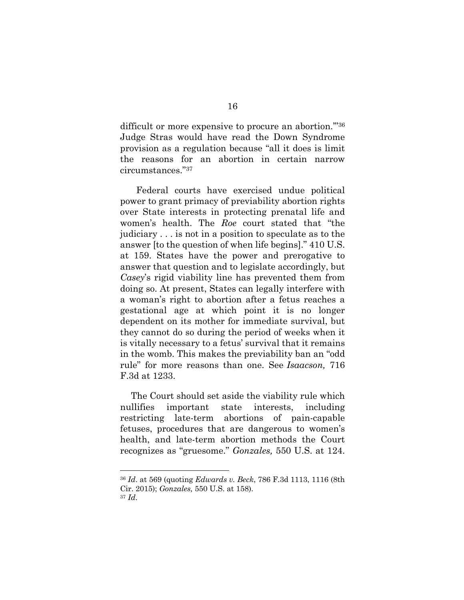difficult or more expensive to procure an abortion."<sup>36</sup> Judge Stras would have read the Down Syndrome provision as a regulation because "all it does is limit the reasons for an abortion in certain narrow circumstances."37

Federal courts have exercised undue political power to grant primacy of previability abortion rights over State interests in protecting prenatal life and women's health. The *Roe* court stated that "the judiciary . . . is not in a position to speculate as to the answer [to the question of when life begins]." 410 U.S. at 159. States have the power and prerogative to answer that question and to legislate accordingly, but *Casey*'s rigid viability line has prevented them from doing so. At present, States can legally interfere with a woman's right to abortion after a fetus reaches a gestational age at which point it is no longer dependent on its mother for immediate survival, but they cannot do so during the period of weeks when it is vitally necessary to a fetus' survival that it remains in the womb. This makes the previability ban an "odd rule" for more reasons than one. See *Isaacson,* 716 F.3d at 1233.

The Court should set aside the viability rule which nullifies important state interests, including restricting late-term abortions of pain-capable fetuses, procedures that are dangerous to women's health, and late-term abortion methods the Court recognizes as "gruesome." *Gonzales,* 550 U.S. at 124.

<sup>36</sup> *Id*. at 569 (quoting *Edwards v. Beck*, 786 F.3d 1113, 1116 (8th Cir. 2015); *Gonzales,* 550 U.S. at 158). <sup>37</sup> *Id*.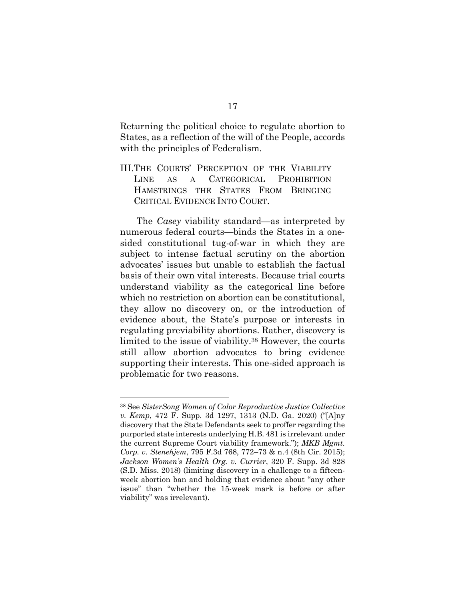Returning the political choice to regulate abortion to States, as a reflection of the will of the People, accords with the principles of Federalism.

III.THE COURTS' PERCEPTION OF THE VIABILITY LINE AS A CATEGORICAL PROHIBITION HAMSTRINGS THE STATES FROM BRINGING CRITICAL EVIDENCE INTO COURT.

The *Casey* viability standard—as interpreted by numerous federal courts—binds the States in a onesided constitutional tug-of-war in which they are subject to intense factual scrutiny on the abortion advocates' issues but unable to establish the factual basis of their own vital interests. Because trial courts understand viability as the categorical line before which no restriction on abortion can be constitutional, they allow no discovery on, or the introduction of evidence about, the State's purpose or interests in regulating previability abortions. Rather, discovery is limited to the issue of viability.38 However, the courts still allow abortion advocates to bring evidence supporting their interests. This one-sided approach is problematic for two reasons.

<sup>38</sup> See *SisterSong Women of Color Reproductive Justice Collective v. Kemp*, 472 F. Supp. 3d 1297, 1313 (N.D. Ga. 2020) ("[A]ny discovery that the State Defendants seek to proffer regarding the purported state interests underlying H.B. 481 is irrelevant under the current Supreme Court viability framework."); *MKB Mgmt. Corp. v. Stenehjem*, 795 F.3d 768, 772–73 & n.4 (8th Cir. 2015); *Jackson Women's Health Org. v. Currier*, 320 F. Supp. 3d 828 (S.D. Miss. 2018) (limiting discovery in a challenge to a fifteenweek abortion ban and holding that evidence about "any other issue" than "whether the 15-week mark is before or after viability" was irrelevant).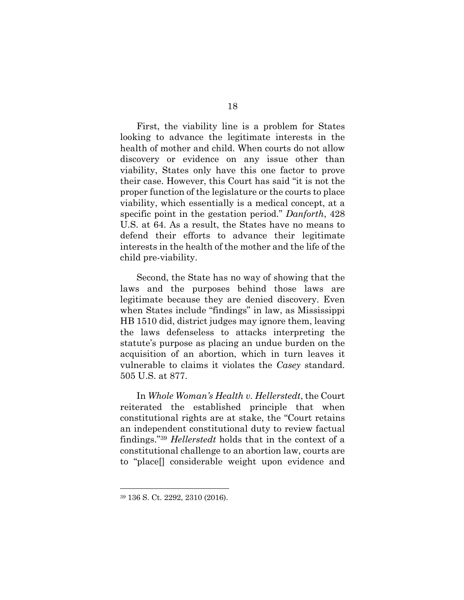First, the viability line is a problem for States looking to advance the legitimate interests in the health of mother and child. When courts do not allow discovery or evidence on any issue other than viability, States only have this one factor to prove their case. However, this Court has said "it is not the proper function of the legislature or the courts to place viability, which essentially is a medical concept, at a specific point in the gestation period." *Danforth*, 428 U.S. at 64. As a result, the States have no means to defend their efforts to advance their legitimate interests in the health of the mother and the life of the child pre-viability.

Second, the State has no way of showing that the laws and the purposes behind those laws are legitimate because they are denied discovery. Even when States include "findings" in law, as Mississippi HB 1510 did, district judges may ignore them, leaving the laws defenseless to attacks interpreting the statute's purpose as placing an undue burden on the acquisition of an abortion, which in turn leaves it vulnerable to claims it violates the *Casey* standard. 505 U.S. at 877.

In *Whole Woman's Health v. Hellerstedt*, the Court reiterated the established principle that when constitutional rights are at stake, the "Court retains an independent constitutional duty to review factual findings."39 *Hellerstedt* holds that in the context of a constitutional challenge to an abortion law, courts are to "place[] considerable weight upon evidence and

<sup>39</sup> 136 S. Ct. 2292, 2310 (2016).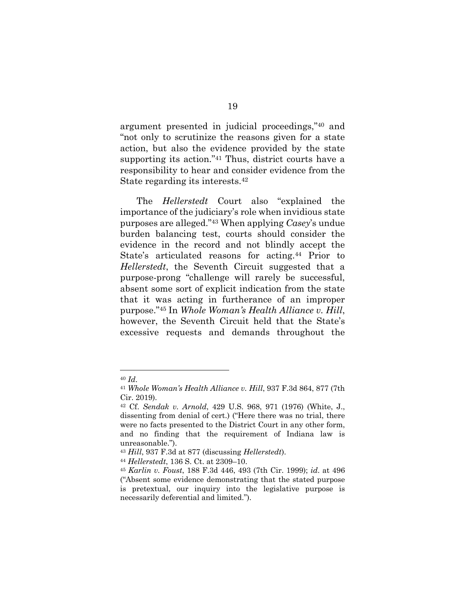argument presented in judicial proceedings,"40 and "not only to scrutinize the reasons given for a state action, but also the evidence provided by the state supporting its action."41 Thus, district courts have a responsibility to hear and consider evidence from the State regarding its interests.42

The *Hellerstedt* Court also "explained the importance of the judiciary's role when invidious state purposes are alleged."43 When applying *Casey*'s undue burden balancing test, courts should consider the evidence in the record and not blindly accept the State's articulated reasons for acting.<sup>44</sup> Prior to *Hellerstedt*, the Seventh Circuit suggested that a purpose-prong "challenge will rarely be successful, absent some sort of explicit indication from the state that it was acting in furtherance of an improper purpose."45 In *Whole Woman's Health Alliance v. Hill*, however, the Seventh Circuit held that the State's excessive requests and demands throughout the

<sup>40</sup> *Id*.

<sup>41</sup> *Whole Woman's Health Alliance v. Hill*, 937 F.3d 864, 877 (7th Cir. 2019).

<sup>42</sup> Cf. *Sendak v. Arnold*, 429 U.S. 968, 971 (1976) (White, J., dissenting from denial of cert.) ("Here there was no trial, there were no facts presented to the District Court in any other form, and no finding that the requirement of Indiana law is unreasonable.").

<sup>43</sup> *Hill*, 937 F.3d at 877 (discussing *Hellerstedt*).

<sup>44</sup> *Hellerstedt*, 136 S. Ct. at 2309–10.

<sup>45</sup> *Karlin v. Foust*, 188 F.3d 446, 493 (7th Cir. 1999); *id*. at 496 ("Absent some evidence demonstrating that the stated purpose is pretextual, our inquiry into the legislative purpose is necessarily deferential and limited.").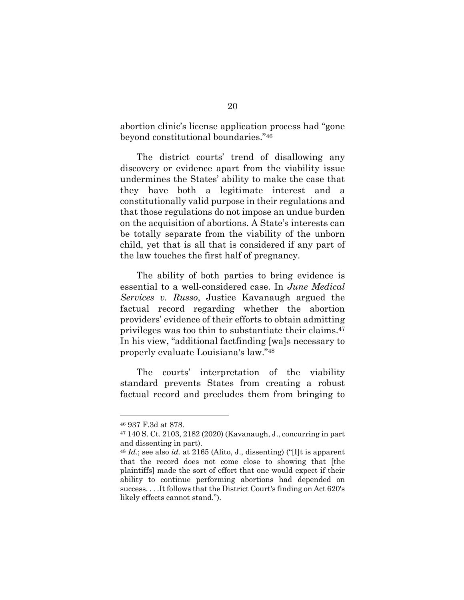abortion clinic's license application process had "gone beyond constitutional boundaries."46

The district courts' trend of disallowing any discovery or evidence apart from the viability issue undermines the States' ability to make the case that they have both a legitimate interest and a constitutionally valid purpose in their regulations and that those regulations do not impose an undue burden on the acquisition of abortions. A State's interests can be totally separate from the viability of the unborn child, yet that is all that is considered if any part of the law touches the first half of pregnancy.

The ability of both parties to bring evidence is essential to a well-considered case. In *June Medical Services v. Russo*, Justice Kavanaugh argued the factual record regarding whether the abortion providers' evidence of their efforts to obtain admitting privileges was too thin to substantiate their claims.47 In his view, "additional factfinding [wa]s necessary to properly evaluate Louisiana's law."48

The courts' interpretation of the viability standard prevents States from creating a robust factual record and precludes them from bringing to

<sup>46</sup> 937 F.3d at 878.

<sup>47</sup> 140 S. Ct. 2103, 2182 (2020) (Kavanaugh, J., concurring in part and dissenting in part).

<sup>48</sup> *Id.*; see also *id.* at 2165 (Alito, J., dissenting) ("[I]t is apparent that the record does not come close to showing that [the plaintiffs] made the sort of effort that one would expect if their ability to continue performing abortions had depended on success. . . .It follows that the District Court's finding on Act 620's likely effects cannot stand.").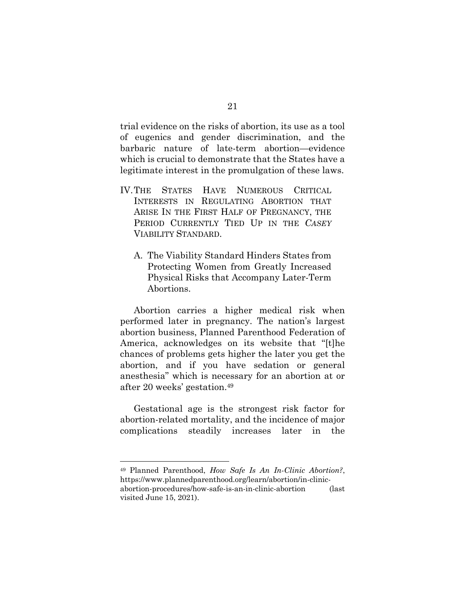trial evidence on the risks of abortion, its use as a tool of eugenics and gender discrimination, and the barbaric nature of late-term abortion—evidence which is crucial to demonstrate that the States have a legitimate interest in the promulgation of these laws.

- IV.THE STATES HAVE NUMEROUS CRITICAL INTERESTS IN REGULATING ABORTION THAT ARISE IN THE FIRST HALF OF PREGNANCY, THE PERIOD CURRENTLY TIED UP IN THE *CASEY* VIABILITY STANDARD.
	- A. The Viability Standard Hinders States from Protecting Women from Greatly Increased Physical Risks that Accompany Later-Term Abortions.

Abortion carries a higher medical risk when performed later in pregnancy. The nation's largest abortion business, Planned Parenthood Federation of America, acknowledges on its website that "[t]he chances of problems gets higher the later you get the abortion, and if you have sedation or general anesthesia" which is necessary for an abortion at or after 20 weeks' gestation.49

Gestational age is the strongest risk factor for abortion-related mortality, and the incidence of major complications steadily increases later in the

<sup>49</sup> Planned Parenthood, *How Safe Is An In-Clinic Abortion?*, https://www.plannedparenthood.org/learn/abortion/in-clinicabortion-procedures/how-safe-is-an-in-clinic-abortion (last visited June 15, 2021).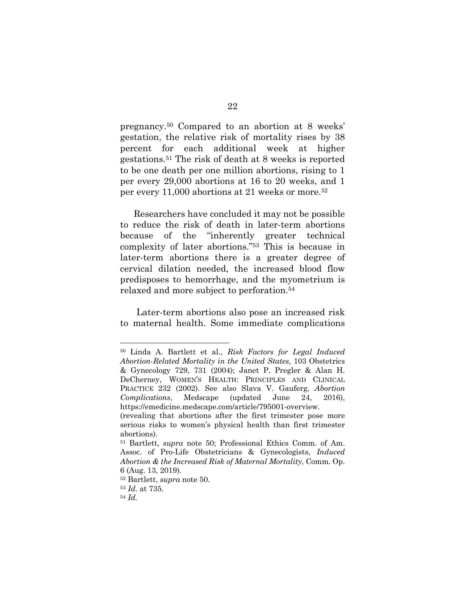pregnancy.50 Compared to an abortion at 8 weeks' gestation, the relative risk of mortality rises by 38 percent for each additional week at higher gestations.51 The risk of death at 8 weeks is reported to be one death per one million abortions, rising to 1 per every 29,000 abortions at 16 to 20 weeks, and 1 per every 11,000 abortions at 21 weeks or more.52

Researchers have concluded it may not be possible to reduce the risk of death in later-term abortions because of the "inherently greater technical complexity of later abortions."53 This is because in later-term abortions there is a greater degree of cervical dilation needed, the increased blood flow predisposes to hemorrhage, and the myometrium is relaxed and more subject to perforation.54

Later-term abortions also pose an increased risk to maternal health. Some immediate complications

<sup>50</sup> Linda A. Bartlett et al., *Risk Factors for Legal Induced Abortion-Related Mortality in the United States*, 103 Obstetrics & Gynecology 729, 731 (2004); Janet P. Pregler & Alan H. DeCherney, WOMEN'S HEALTH: PRINCIPLES AND CLINICAL PRACTICE 232 (2002). See also Slava V. Gauferg, *Abortion Complications*, Medscape (updated June 24, 2016), https://emedicine.medscape.com/article/795001-overview.

<sup>(</sup>revealing that abortions after the first trimester pose more serious risks to women's physical health than first trimester abortions).

<sup>51</sup> Bartlett, *supra* note 50; Professional Ethics Comm. of Am. Assoc. of Pro-Life Obstetricians & Gynecologists, *Induced Abortion & the Increased Risk of Maternal Mortality*, Comm. Op. 6 (Aug. 13, 2019).

<sup>52</sup> Bartlett, *supra* note 50*.*

<sup>53</sup> *Id.* at 735.

<sup>54</sup> *Id.*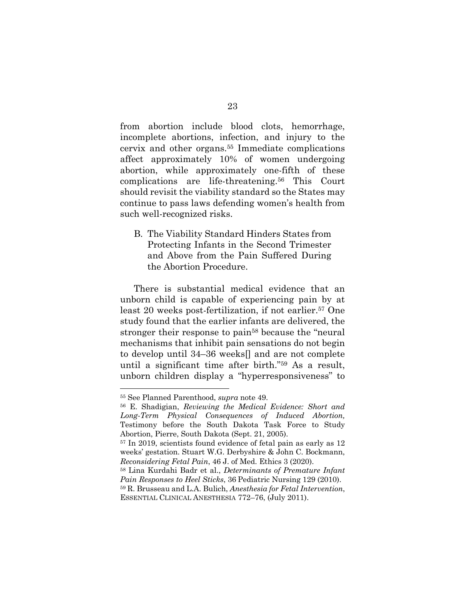from abortion include blood clots, hemorrhage, incomplete abortions, infection, and injury to the cervix and other organs.55 Immediate complications affect approximately 10% of women undergoing abortion, while approximately one-fifth of these complications are life-threatening.56 This Court should revisit the viability standard so the States may continue to pass laws defending women's health from such well-recognized risks.

B. The Viability Standard Hinders States from Protecting Infants in the Second Trimester and Above from the Pain Suffered During the Abortion Procedure.

There is substantial medical evidence that an unborn child is capable of experiencing pain by at least 20 weeks post-fertilization, if not earlier.57 One study found that the earlier infants are delivered, the stronger their response to pain58 because the "neural mechanisms that inhibit pain sensations do not begin to develop until 34–36 weeks[] and are not complete until a significant time after birth."59 As a result, unborn children display a "hyperresponsiveness" to

<sup>55</sup> See Planned Parenthood, *supra* note 49.

<sup>56</sup> E. Shadigian, *Reviewing the Medical Evidence: Short and Long-Term Physical Consequences of Induced Abortion,*  Testimony before the South Dakota Task Force to Study Abortion, Pierre, South Dakota (Sept. 21, 2005).

<sup>57</sup> In 2019, scientists found evidence of fetal pain as early as 12 weeks' gestation. Stuart W.G. Derbyshire & John C. Bockmann, *Reconsidering Fetal Pain*, 46 J. of Med. Ethics 3 (2020).

<sup>58</sup> Lina Kurdahi Badr et al., *Determinants of Premature Infant Pain Responses to Heel Sticks*, 36 Pediatric Nursing 129 (2010).

<sup>59</sup> R. Brusseau and L.A. Bulich, *Anesthesia for Fetal Intervention*, ESSENTIAL CLINICAL ANESTHESIA 772–76, (July 2011).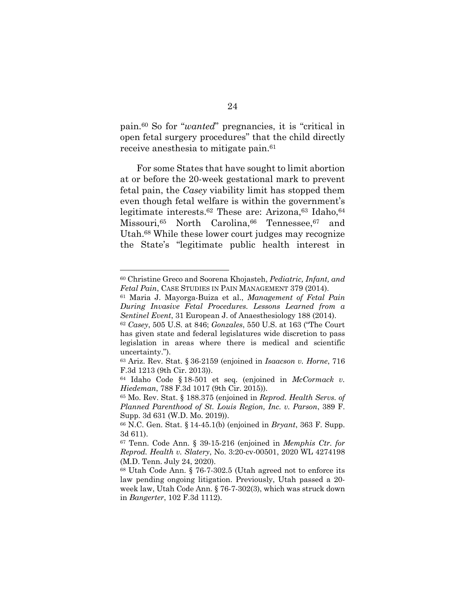pain.60 So for "*wanted*" pregnancies, it is "critical in open fetal surgery procedures" that the child directly receive anesthesia to mitigate pain.<sup>61</sup>

For some States that have sought to limit abortion at or before the 20-week gestational mark to prevent fetal pain, the *Casey* viability limit has stopped them even though fetal welfare is within the government's legitimate interests.<sup>62</sup> These are: Arizona,<sup>63</sup> Idaho,<sup>64</sup> Missouri, <sup>65</sup> North Carolina, <sup>66</sup> Tennessee, <sup>67</sup> and Utah.68 While these lower court judges may recognize the State's "legitimate public health interest in

<sup>60</sup> Christine Greco and Soorena Khojasteh, *Pediatric, Infant, and Fetal Pain*, CASE STUDIES IN PAIN MANAGEMENT 379 (2014).

<sup>61</sup> Maria J. Mayorga-Buiza et al., *Management of Fetal Pain During Invasive Fetal Procedures. Lessons Learned from a Sentinel Event*, 31 European J. of Anaesthesiology 188 (2014).

<sup>62</sup> *Casey*, 505 U.S. at 846; *Gonzales*, 550 U.S. at 163 ("The Court has given state and federal legislatures wide discretion to pass legislation in areas where there is medical and scientific uncertainty.").

<sup>63</sup> Ariz. Rev. Stat. § 36-2159 (enjoined in *Isaacson v. Horne*, 716 F.3d 1213 (9th Cir. 2013)).

<sup>64</sup> Idaho Code § 18-501 et seq. (enjoined in *McCormack v. Hiedeman*, 788 F.3d 1017 (9th Cir. 2015)).

<sup>65</sup> Mo. Rev. Stat. § 188.375 (enjoined in *Reprod. Health Servs. of Planned Parenthood of St. Louis Region, Inc. v. Parson*, 389 F. Supp. 3d 631 (W.D. Mo. 2019)).

<sup>66</sup> N.C. Gen. Stat. § 14-45.1(b) (enjoined in *Bryant*, 363 F. Supp. 3d 611).

<sup>67</sup> Tenn. Code Ann. § 39-15-216 (enjoined in *Memphis Ctr. for Reprod. Health v. Slatery*, No. 3:20-cv-00501, 2020 WL 4274198 (M.D. Tenn. July 24, 2020).

<sup>68</sup> Utah Code Ann. § 76-7-302.5 (Utah agreed not to enforce its law pending ongoing litigation. Previously, Utah passed a 20 week law, Utah Code Ann. § 76-7-302(3), which was struck down in *Bangerter*, 102 F.3d 1112).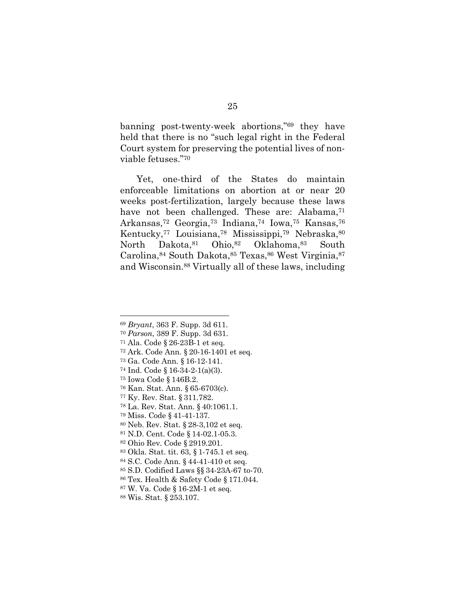banning post-twenty-week abortions,"69 they have held that there is no "such legal right in the Federal Court system for preserving the potential lives of nonviable fetuses."70

Yet, one-third of the States do maintain enforceable limitations on abortion at or near 20 weeks post-fertilization, largely because these laws have not been challenged. These are: Alabama,<sup>71</sup> Arkansas,72 Georgia,73 Indiana,74 Iowa,75 Kansas,76 Kentucky,77 Louisiana,78 Mississippi,79 Nebraska,80 North Dakota, 81 Ohio, 82 Oklahoma, 83 South Carolina, 84 South Dakota, 85 Texas, 86 West Virginia, 87 and Wisconsin.88 Virtually all of these laws, including

*Bryant*, 363 F. Supp. 3d 611.

*Parson*, 389 F. Supp. 3d 631.

Ala. Code § 26-23B-1 et seq.

Ark. Code Ann. § 20-16-1401 et seq.

Ga. Code Ann. § 16-12-141.

Ind. Code § 16-34-2-1(a)(3).

Iowa Code § 146B.2.

Kan. Stat. Ann. § 65-6703(c).

Ky. Rev. Stat. § 311.782.

La. Rev. Stat. Ann. § 40:1061.1.

Miss. Code § 41-41-137.

Neb. Rev. Stat. § 28-3,102 et seq.

N.D. Cent. Code § 14-02.1-05.3.

Ohio Rev. Code § 2919.201.

Okla. Stat. tit. 63, § 1-745.1 et seq.

S.C. Code Ann. § 44-41-410 et seq.

S.D. Codified Laws §§ 34-23A-67 to-70.

Tex. Health & Safety Code § 171.044.

W. Va. Code § 16-2M-1 et seq.

Wis. Stat. § 253.107.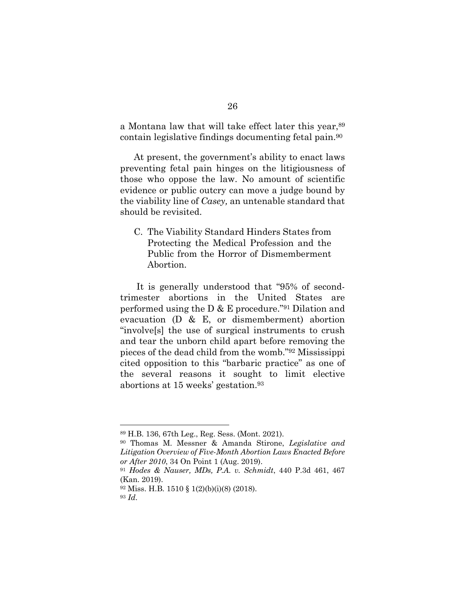a Montana law that will take effect later this year,  $89$ contain legislative findings documenting fetal pain.90

At present, the government's ability to enact laws preventing fetal pain hinges on the litigiousness of those who oppose the law. No amount of scientific evidence or public outcry can move a judge bound by the viability line of *Casey,* an untenable standard that should be revisited.

C. The Viability Standard Hinders States from Protecting the Medical Profession and the Public from the Horror of Dismemberment Abortion.

It is generally understood that "95% of secondtrimester abortions in the United States are performed using the D & E procedure."91 Dilation and evacuation (D & E, or dismemberment) abortion "involve[s] the use of surgical instruments to crush and tear the unborn child apart before removing the pieces of the dead child from the womb."92 Mississippi cited opposition to this "barbaric practice" as one of the several reasons it sought to limit elective abortions at 15 weeks' gestation.93

<sup>89</sup> H.B. 136, 67th Leg., Reg. Sess. (Mont. 2021).

<sup>90</sup> Thomas M. Messner & Amanda Stirone, *Legislative and Litigation Overview of Five-Month Abortion Laws Enacted Before or After 2010*, 34 On Point 1 (Aug. 2019).

<sup>91</sup> *Hodes & Nauser, MDs, P.A. v. Schmidt*, 440 P.3d 461, 467 (Kan. 2019).

<sup>92</sup> Miss. H.B. 1510 § 1(2)(b)(i)(8) (2018).

<sup>93</sup> *Id*.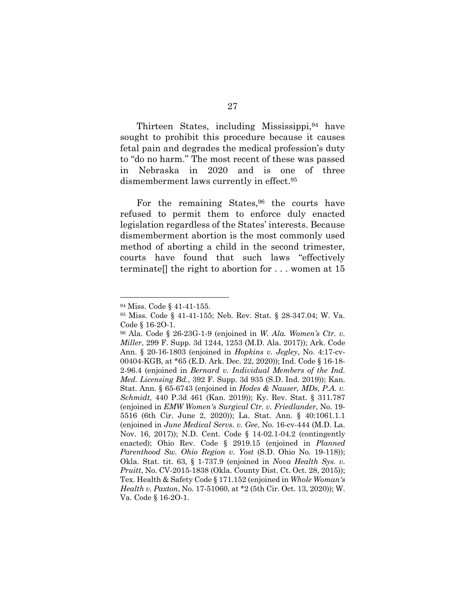Thirteen States, including Mississippi,94 have sought to prohibit this procedure because it causes fetal pain and degrades the medical profession's duty to "do no harm." The most recent of these was passed in Nebraska in 2020 and is one of three dismemberment laws currently in effect.<sup>95</sup>

For the remaining States,<sup>96</sup> the courts have refused to permit them to enforce duly enacted legislation regardless of the States' interests. Because dismemberment abortion is the most commonly used method of aborting a child in the second trimester, courts have found that such laws "effectively terminate[] the right to abortion for . . . women at 15

<sup>94</sup> Miss. Code § 41-41-155.

<sup>95</sup> Miss. Code § 41-41-155; Neb. Rev. Stat. § 28-347.04; W. Va. Code § 16-2O-1.

<sup>96</sup> Ala. Code § 26-23G-1-9 (enjoined in *W. Ala. Women's Ctr. v. Miller*, 299 F. Supp. 3d 1244, 1253 (M.D. Ala. 2017)); Ark. Code Ann. § 20-16-1803 (enjoined in *Hopkins v. Jegley*, No. 4:17-cv-00404-KGB, at \*65 (E.D. Ark. Dec. 22, 2020)); Ind. Code § 16-18- 2-96.4 (enjoined in *Bernard v. Individual Members of the Ind. Med. Licensing Bd.*, 392 F. Supp. 3d 935 (S.D. Ind. 2019)); Kan. Stat. Ann. § 65-6743 (enjoined in *Hodes & Nauser, MDs, P.A. v. Schmidt*, 440 P.3d 461 (Kan. 2019)); Ky. Rev. Stat. § 311.787 (enjoined in *EMW Women's Surgical Ctr. v. Friedlander*, No. 19- 5516 (6th Cir. June 2, 2020)); La. Stat. Ann. § 40:1061.1.1 (enjoined in *June Medical Servs. v. Gee*, No. 16-cv-444 (M.D. La. Nov. 16, 2017)); N.D. Cent. Code § 14-02.1-04.2 (contingently enacted); Ohio Rev. Code § 2919.15 (enjoined in *Planned Parenthood Sw. Ohio Region v. Yost* (S.D. Ohio No. 19-118)); Okla. Stat. tit. 63, § 1-737.9 (enjoined in *Nova Health Sys. v. Pruitt*, No. CV-2015-1838 (Okla. County Dist. Ct. Oct. 28, 2015)); Tex. Health & Safety Code § 171.152 (enjoined in *Whole Woman's Health v. Paxton*, No. 17-51060, at \*2 (5th Cir. Oct. 13, 2020)); W. Va. Code § 16-2O-1.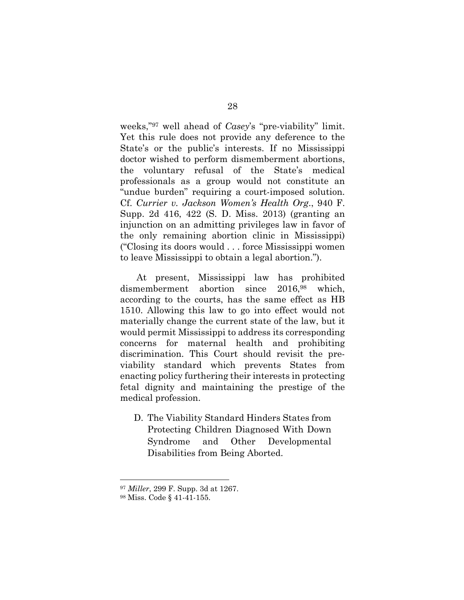weeks,"97 well ahead of *Casey*'s "pre-viability" limit. Yet this rule does not provide any deference to the State's or the public's interests. If no Mississippi doctor wished to perform dismemberment abortions, the voluntary refusal of the State's medical professionals as a group would not constitute an "undue burden" requiring a court-imposed solution. Cf. *Currier v. Jackson Women's Health Org*., 940 F. Supp. 2d 416, 422 (S. D. Miss. 2013) (granting an injunction on an admitting privileges law in favor of the only remaining abortion clinic in Mississippi) ("Closing its doors would . . . force Mississippi women to leave Mississippi to obtain a legal abortion.").

At present, Mississippi law has prohibited dismemberment abortion since 2016,<sup>98</sup> which, according to the courts, has the same effect as HB 1510. Allowing this law to go into effect would not materially change the current state of the law, but it would permit Mississippi to address its corresponding concerns for maternal health and prohibiting discrimination. This Court should revisit the previability standard which prevents States from enacting policy furthering their interests in protecting fetal dignity and maintaining the prestige of the medical profession.

D. The Viability Standard Hinders States from Protecting Children Diagnosed With Down Syndrome and Other Developmental Disabilities from Being Aborted.

<sup>97</sup> *Miller*, 299 F. Supp. 3d at 1267.

<sup>98</sup> Miss. Code § 41-41-155.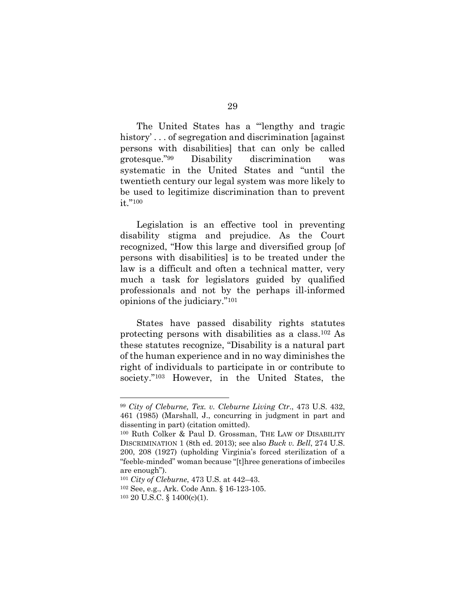The United States has a "lengthy and tragic history'... of segregation and discrimination [against] persons with disabilities] that can only be called grotesque."99 Disability discrimination was systematic in the United States and "until the twentieth century our legal system was more likely to be used to legitimize discrimination than to prevent it."100

Legislation is an effective tool in preventing disability stigma and prejudice. As the Court recognized, "How this large and diversified group [of persons with disabilities] is to be treated under the law is a difficult and often a technical matter, very much a task for legislators guided by qualified professionals and not by the perhaps ill-informed opinions of the judiciary."101

States have passed disability rights statutes protecting persons with disabilities as a class.102 As these statutes recognize, "Disability is a natural part of the human experience and in no way diminishes the right of individuals to participate in or contribute to society."103 However, in the United States, the

<sup>99</sup> *City of Cleburne, Tex. v. Cleburne Living Ctr*., 473 U.S. 432, 461 (1985) (Marshall, J., concurring in judgment in part and dissenting in part) (citation omitted).

<sup>100</sup> Ruth Colker & Paul D. Grossman, THE LAW OF DISABILITY DISCRIMINATION 1 (8th ed. 2013); see also *Buck v. Bell*, 274 U.S. 200, 208 (1927) (upholding Virginia's forced sterilization of a "feeble-minded" woman because "[t]hree generations of imbeciles are enough").

<sup>101</sup> *City of Cleburne*, 473 U.S. at 442–43.

<sup>102</sup> See, e.g., Ark. Code Ann. § 16-123-105.

<sup>103</sup> 20 U.S.C. § 1400(c)(1).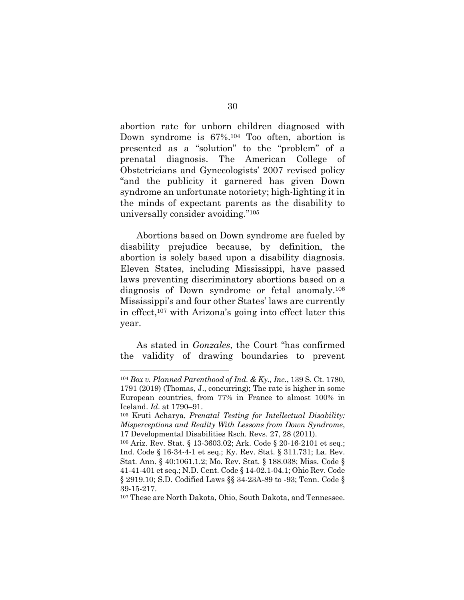abortion rate for unborn children diagnosed with Down syndrome is 67%.104 Too often, abortion is presented as a "solution" to the "problem" of a prenatal diagnosis. The American College of Obstetricians and Gynecologists' 2007 revised policy "and the publicity it garnered has given Down syndrome an unfortunate notoriety; high-lighting it in the minds of expectant parents as the disability to universally consider avoiding."105

Abortions based on Down syndrome are fueled by disability prejudice because, by definition, the abortion is solely based upon a disability diagnosis. Eleven States, including Mississippi, have passed laws preventing discriminatory abortions based on a diagnosis of Down syndrome or fetal anomaly.106 Mississippi's and four other States' laws are currently in effect, $107$  with Arizona's going into effect later this year.

As stated in *Gonzales*, the Court "has confirmed the validity of drawing boundaries to prevent

<sup>104</sup> *Box v. Planned Parenthood of Ind. & Ky., Inc.*, 139 S. Ct. 1780, 1791 (2019) (Thomas, J., concurring); The rate is higher in some European countries, from 77% in France to almost 100% in Iceland. *Id*. at 1790–91.

<sup>105</sup> Kruti Acharya, *Prenatal Testing for Intellectual Disability: Misperceptions and Reality With Lessons from Down Syndrome*, 17 Developmental Disabilities Rsch. Revs. 27, 28 (2011).

<sup>106</sup> Ariz. Rev. Stat. § 13-3603.02; Ark. Code § 20-16-2101 et seq.; Ind. Code § 16-34-4-1 et seq.; Ky. Rev. Stat. § 311.731; La. Rev. Stat. Ann. § 40:1061.1.2; Mo. Rev. Stat. § 188.038; Miss. Code § 41-41-401 et seq.; N.D. Cent. Code § 14-02.1-04.1; Ohio Rev. Code § 2919.10; S.D. Codified Laws §§ 34-23A-89 to -93; Tenn. Code § 39-15-217.

<sup>107</sup> These are North Dakota, Ohio, South Dakota, and Tennessee.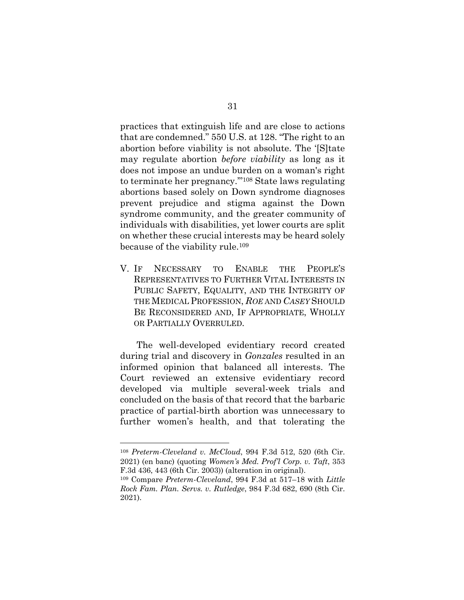practices that extinguish life and are close to actions that are condemned." 550 U.S. at 128. "The right to an abortion before viability is not absolute. The '[S]tate may regulate abortion *before viability* as long as it does not impose an undue burden on a woman's right to terminate her pregnancy.'"108 State laws regulating abortions based solely on Down syndrome diagnoses prevent prejudice and stigma against the Down syndrome community, and the greater community of individuals with disabilities, yet lower courts are split on whether these crucial interests may be heard solely because of the viability rule.109

V. IF NECESSARY TO ENABLE THE PEOPLE'S REPRESENTATIVES TO FURTHER VITAL INTERESTS IN PUBLIC SAFETY, EQUALITY, AND THE INTEGRITY OF THE MEDICAL PROFESSION, *ROE* AND *CASEY* SHOULD BE RECONSIDERED AND, IF APPROPRIATE, WHOLLY OR PARTIALLY OVERRULED.

The well-developed evidentiary record created during trial and discovery in *Gonzales* resulted in an informed opinion that balanced all interests. The Court reviewed an extensive evidentiary record developed via multiple several-week trials and concluded on the basis of that record that the barbaric practice of partial-birth abortion was unnecessary to further women's health, and that tolerating the

<sup>108</sup> *Preterm-Cleveland v. McCloud*, 994 F.3d 512, 520 (6th Cir. 2021) (en banc) (quoting *Women's Med. Prof'l Corp. v. Taft*, 353 F.3d 436, 443 (6th Cir. 2003)) (alteration in original).

<sup>109</sup> Compare *Preterm-Cleveland*, 994 F.3d at 517–18 with *Little Rock Fam. Plan. Servs. v. Rutledge*, 984 F.3d 682, 690 (8th Cir. 2021).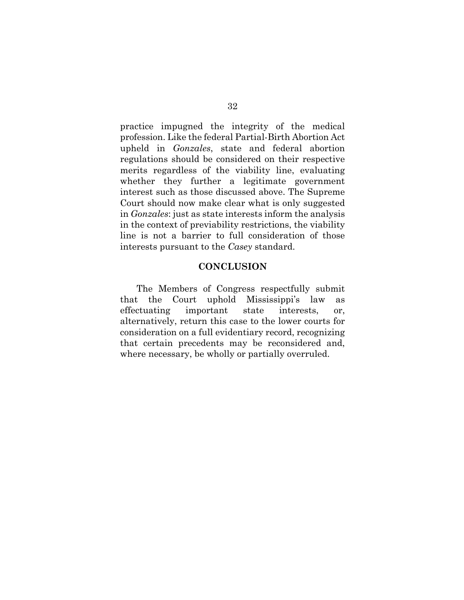practice impugned the integrity of the medical profession. Like the federal Partial-Birth Abortion Act upheld in *Gonzales*, state and federal abortion regulations should be considered on their respective merits regardless of the viability line, evaluating whether they further a legitimate government interest such as those discussed above. The Supreme Court should now make clear what is only suggested in *Gonzales*: just as state interests inform the analysis in the context of previability restrictions, the viability line is not a barrier to full consideration of those interests pursuant to the *Casey* standard.

### **CONCLUSION**

The Members of Congress respectfully submit that the Court uphold Mississippi's law as effectuating important state interests, or, alternatively, return this case to the lower courts for consideration on a full evidentiary record, recognizing that certain precedents may be reconsidered and, where necessary, be wholly or partially overruled.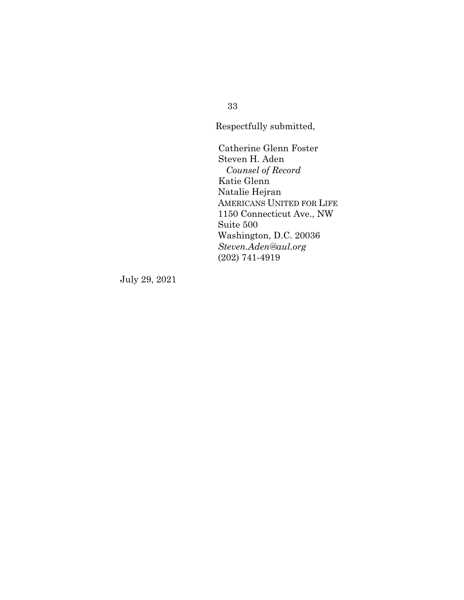33

Respectfully submitted,

Catherine Glenn Foster Steven H. Aden *Counsel of Record* Katie Glenn Natalie Hejran AMERICANS UNITED FOR LIFE 1150 Connecticut Ave., NW Suite 500 Washington, D.C. 20036 *Steven.Aden@aul.org* (202) 741-4919

July 29, 2021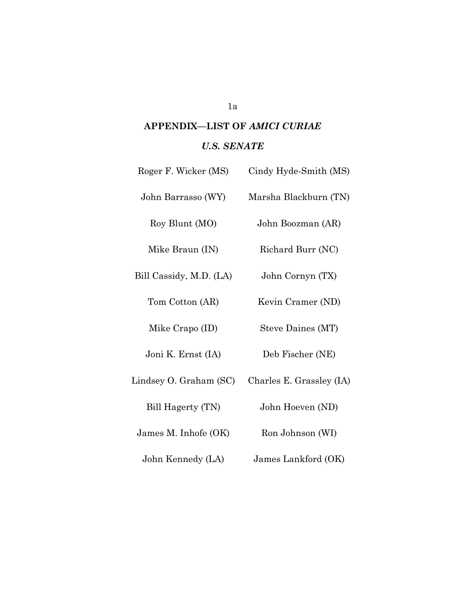# **APPENDIX—LIST OF** *AMICI CURIAE U.S. SENATE*

| Roger F. Wicker (MS)    | Cindy Hyde-Smith (MS)    |
|-------------------------|--------------------------|
| John Barrasso (WY)      | Marsha Blackburn (TN)    |
| Roy Blunt (MO)          | John Boozman (AR)        |
| Mike Braun (IN)         | Richard Burr (NC)        |
| Bill Cassidy, M.D. (LA) | John Cornyn (TX)         |
| Tom Cotton (AR)         | Kevin Cramer (ND)        |
| Mike Crapo (ID)         | Steve Daines (MT)        |
| Joni K. Ernst (IA)      | Deb Fischer (NE)         |
| Lindsey O. Graham (SC)  | Charles E. Grassley (IA) |
| Bill Hagerty (TN)       | John Hoeven (ND)         |
| James M. Inhofe (OK)    | Ron Johnson (WI)         |
|                         |                          |

John Kennedy (LA) James Lankford (OK)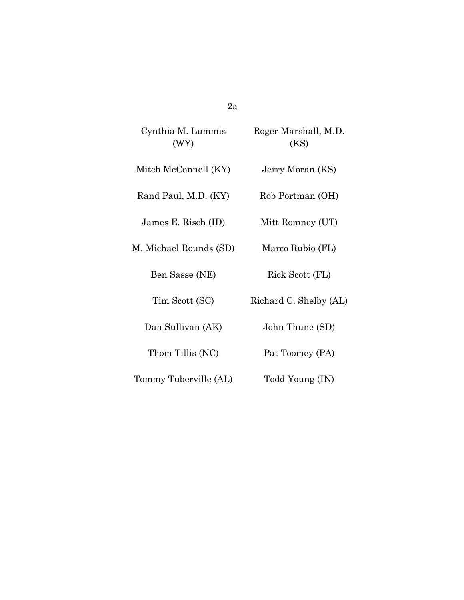Cynthia M. Lummis (WY)

Roger Marshall, M.D. (KS)

Mitch McConnell (KY) Jerry Moran (KS)

Rand Paul, M.D. (KY) Rob Portman (OH)

James E. Risch (ID) Mitt Romney (UT)

M. Michael Rounds (SD) Marco Rubio (FL)

Ben Sasse (NE) Rick Scott (FL)

Tim Scott (SC) Richard C. Shelby (AL)

Dan Sullivan (AK) John Thune (SD)

Thom Tillis (NC) Pat Toomey (PA)

Tommy Tuberville (AL) Todd Young (IN)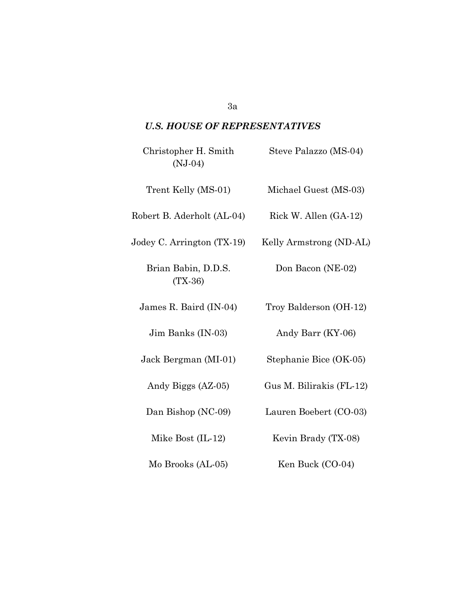### *U.S. HOUSE OF REPRESENTATIVES*

| Christopher H. Smith<br>$(NJ-04)$ | Steve Palazzo (MS-04)    |
|-----------------------------------|--------------------------|
| Trent Kelly (MS-01)               | Michael Guest (MS-03)    |
| Robert B. Aderholt (AL-04)        | Rick W. Allen (GA-12)    |
| Jodey C. Arrington (TX-19)        | Kelly Armstrong (ND-AL)  |
| Brian Babin, D.D.S.<br>$(TX-36)$  | Don Bacon (NE-02)        |
| James R. Baird (IN-04)            | Troy Balderson (OH-12)   |
| Jim Banks (IN-03)                 | Andy Barr (KY-06)        |
| Jack Bergman (MI-01)              | Stephanie Bice (OK-05)   |
| Andy Biggs (AZ-05)                | Gus M. Bilirakis (FL-12) |
| Dan Bishop (NC-09)                | Lauren Boebert (CO-03)   |
| Mike Bost $(IL-12)$               | Kevin Brady (TX-08)      |
| Mo Brooks (AL-05)                 | Ken Buck (CO-04)         |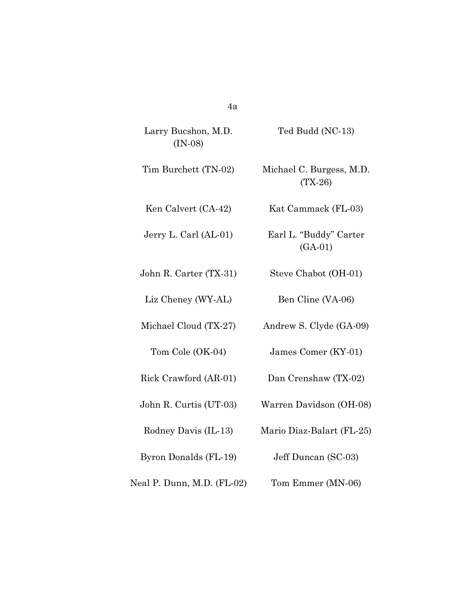| Larry Bucshon, M.D.<br>$(IN-08)$ | Ted Budd (NC-13)                      |
|----------------------------------|---------------------------------------|
| Tim Burchett (TN-02)             | Michael C. Burgess, M.D.<br>$(TX-26)$ |
| Ken Calvert (CA-42)              | Kat Cammack (FL-03)                   |
| Jerry L. Carl (AL-01)            | Earl L. "Buddy" Carter<br>$(GA-01)$   |
| John R. Carter (TX-31)           | Steve Chabot (OH-01)                  |
| Liz Cheney (WY-AL)               | Ben Cline (VA-06)                     |
| Michael Cloud (TX-27)            | Andrew S. Clyde (GA-09)               |
| Tom Cole (OK-04)                 | James Comer (KY-01)                   |
| Rick Crawford (AR-01)            | Dan Crenshaw (TX-02)                  |
| John R. Curtis (UT-03)           | Warren Davidson (OH-08)               |
| Rodney Davis (IL-13)             | Mario Diaz-Balart (FL-25)             |
| Byron Donalds (FL-19)            | Jeff Duncan (SC-03)                   |
| Neal P. Dunn, M.D. (FL-02)       | Tom Emmer (MN-06)                     |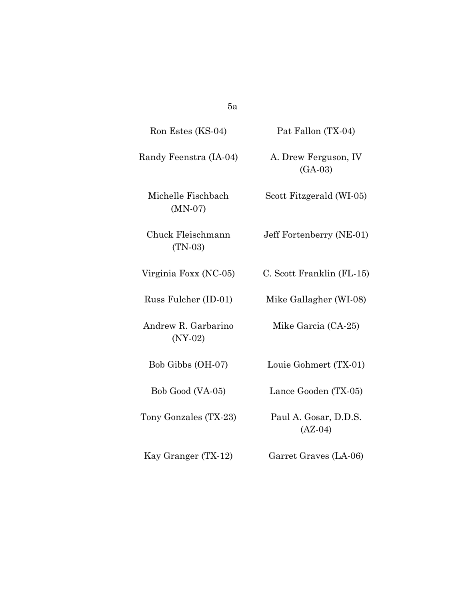| Ron Estes (KS-04)                | Pat Fallon (TX-04)                 |
|----------------------------------|------------------------------------|
| Randy Feenstra (IA-04)           | A. Drew Ferguson, IV<br>$(GA-03)$  |
| Michelle Fischbach<br>$(MN-07)$  | Scott Fitzgerald (WI-05)           |
| Chuck Fleischmann<br>$(TN-03)$   | Jeff Fortenberry (NE-01)           |
| Virginia Foxx (NC-05)            | C. Scott Franklin (FL-15)          |
| Russ Fulcher (ID-01)             | Mike Gallagher (WI-08)             |
| Andrew R. Garbarino<br>$(NY-02)$ | Mike Garcia (CA-25)                |
| Bob Gibbs (OH-07)                | Louie Gohmert (TX-01)              |
| Bob Good (VA-05)                 | Lance Gooden (TX-05)               |
| Tony Gonzales (TX-23)            | Paul A. Gosar, D.D.S.<br>$(AZ-04)$ |
| Kay Granger (TX-12)              | Garret Graves (LA-06)              |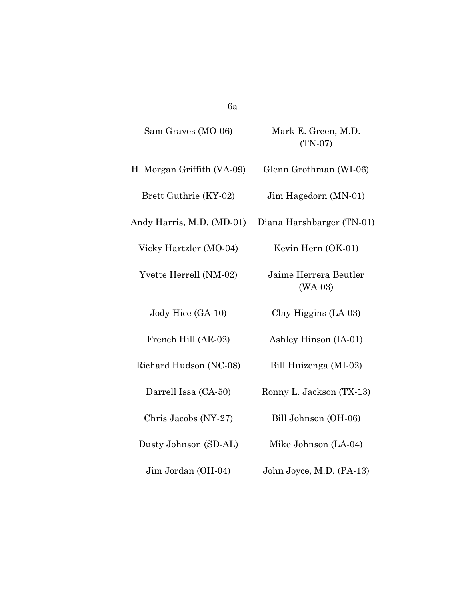| Sam Graves (MO-06)         | Mark E. Green, M.D.<br>$(TN-07)$   |
|----------------------------|------------------------------------|
|                            |                                    |
| H. Morgan Griffith (VA-09) | Glenn Grothman (WI-06)             |
| Brett Guthrie (KY-02)      | Jim Hagedorn (MN-01)               |
| Andy Harris, M.D. (MD-01)  | Diana Harshbarger (TN-01)          |
| Vicky Hartzler (MO-04)     | Kevin Hern (OK-01)                 |
| Yvette Herrell (NM-02)     | Jaime Herrera Beutler<br>$(WA-03)$ |
| Jody Hice (GA-10)          | Clay Higgins (LA-03)               |
| French Hill (AR-02)        | Ashley Hinson (IA-01)              |
| Richard Hudson (NC-08)     | Bill Huizenga (MI-02)              |
| Darrell Issa (CA-50)       | Ronny L. Jackson (TX-13)           |
| Chris Jacobs (NY-27)       | Bill Johnson (OH-06)               |
| Dusty Johnson (SD-AL)      | Mike Johnson (LA-04)               |
| Jim Jordan (OH-04)         | John Joyce, M.D. (PA-13)           |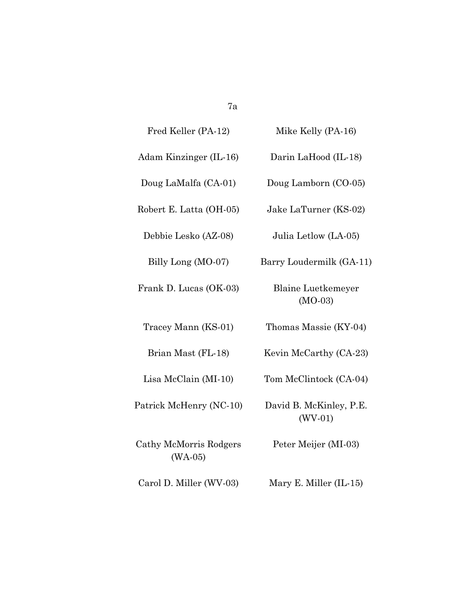| Fred Keller (PA-12)                 | Mike Kelly (PA-16)                     |
|-------------------------------------|----------------------------------------|
| Adam Kinzinger (IL-16)              | Darin LaHood (IL-18)                   |
| Doug LaMalfa (CA-01)                | Doug Lamborn (CO-05)                   |
| Robert E. Latta (OH-05)             | Jake LaTurner (KS-02)                  |
| Debbie Lesko (AZ-08)                | Julia Letlow (LA-05)                   |
| Billy Long (MO-07)                  | Barry Loudermilk (GA-11)               |
| Frank D. Lucas (OK-03)              | <b>Blaine Luetkemeyer</b><br>$(MO-03)$ |
| Tracey Mann (KS-01)                 | Thomas Massie (KY-04)                  |
| Brian Mast (FL-18)                  | Kevin McCarthy (CA-23)                 |
| Lisa McClain (MI-10)                | Tom McClintock (CA-04)                 |
| Patrick McHenry (NC-10)             | David B. McKinley, P.E.<br>$(WV-01)$   |
| Cathy McMorris Rodgers<br>$(WA-05)$ | Peter Meijer (MI-03)                   |
| Carol D. Miller (WV-03)             | Mary E. Miller (IL-15)                 |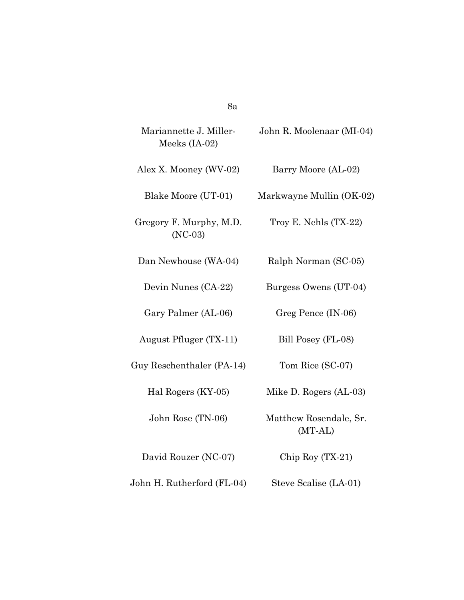| Mariannette J. Miller-<br>Meeks (IA-02) | John R. Moolenaar (MI-04)         |
|-----------------------------------------|-----------------------------------|
| Alex X. Mooney (WV-02)                  | Barry Moore (AL-02)               |
| Blake Moore (UT-01)                     | Markwayne Mullin (OK-02)          |
| Gregory F. Murphy, M.D.<br>$(NC-03)$    | Troy E. Nehls $(TX-22)$           |
| Dan Newhouse (WA-04)                    | Ralph Norman (SC-05)              |
| Devin Nunes (CA-22)                     | Burgess Owens (UT-04)             |
| Gary Palmer (AL-06)                     | Greg Pence (IN-06)                |
| August Pfluger (TX-11)                  | Bill Posey (FL-08)                |
| Guy Reschenthaler (PA-14)               | Tom Rice (SC-07)                  |
| Hal Rogers (KY-05)                      | Mike D. Rogers (AL-03)            |
| John Rose (TN-06)                       | Matthew Rosendale, Sr.<br>(MT-AL) |
| David Rouzer (NC-07)                    | Chip Roy $(TX-21)$                |
|                                         |                                   |

John H. Rutherford (FL-04) Steve Scalise (LA-01)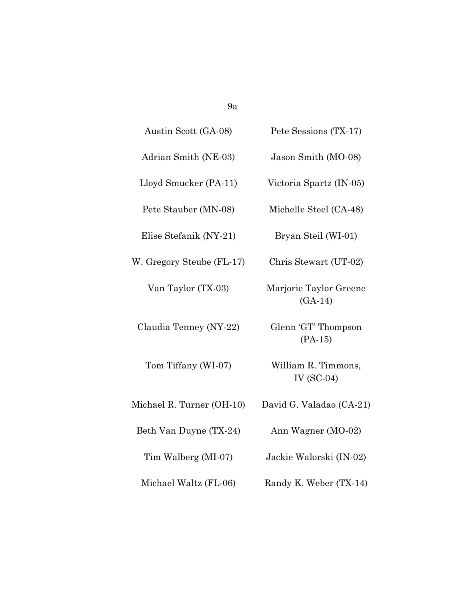| Austin Scott (GA-08)      | Pete Sessions (TX-17)               |
|---------------------------|-------------------------------------|
| Adrian Smith (NE-03)      | Jason Smith (MO-08)                 |
| Lloyd Smucker (PA-11)     | Victoria Spartz (IN-05)             |
| Pete Stauber (MN-08)      | Michelle Steel (CA-48)              |
| Elise Stefanik (NY-21)    | Bryan Steil (WI-01)                 |
| W. Gregory Steube (FL-17) | Chris Stewart (UT-02)               |
| Van Taylor (TX-03)        | Marjorie Taylor Greene<br>$(GA-14)$ |
| Claudia Tenney (NY-22)    | Glenn 'GT' Thompson<br>$(PA-15)$    |
| Tom Tiffany (WI-07)       | William R. Timmons,<br>IV $(SC-04)$ |
| Michael R. Turner (OH-10) | David G. Valadao (CA-21)            |
| Beth Van Duyne (TX-24)    | Ann Wagner (MO-02)                  |
| Tim Walberg (MI-07)       | Jackie Walorski (IN-02)             |
| Michael Waltz (FL-06)     | Randy K. Weber (TX-14)              |